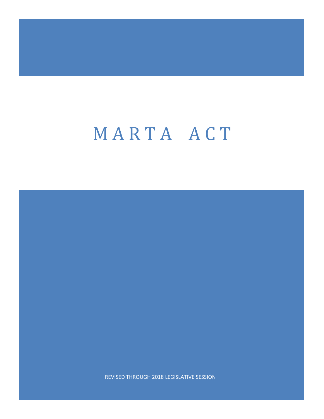REVISED THROUGH 2018 LEGISLATIVE SESSION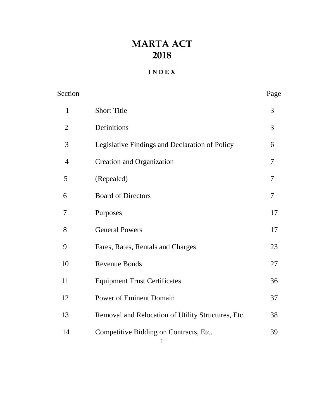## **I N D E X**

| Section        |                                                    | <u>Page</u>    |
|----------------|----------------------------------------------------|----------------|
| $\mathbf{1}$   | <b>Short Title</b>                                 | 3              |
| $\overline{2}$ | Definitions                                        | 3              |
| 3              | Legislative Findings and Declaration of Policy     | 6              |
| $\overline{4}$ | <b>Creation and Organization</b>                   | 7              |
| 5              | (Repealed)                                         | $\overline{7}$ |
| 6              | <b>Board of Directors</b>                          | 7              |
| $\overline{7}$ | Purposes                                           | 17             |
| 8              | <b>General Powers</b>                              | 17             |
| 9              | Fares, Rates, Rentals and Charges                  | 23             |
| 10             | <b>Revenue Bonds</b>                               | 27             |
| 11             | <b>Equipment Trust Certificates</b>                | 36             |
| 12             | <b>Power of Eminent Domain</b>                     | 37             |
| 13             | Removal and Relocation of Utility Structures, Etc. | 38             |
| 14             | Competitive Bidding on Contracts, Etc.             | 39             |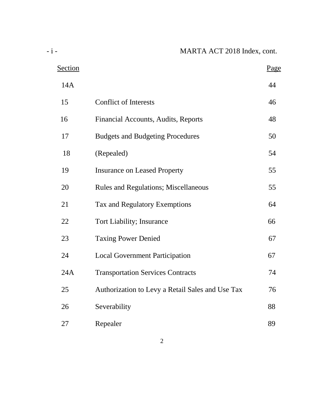| Section |                                                  | Page |
|---------|--------------------------------------------------|------|
| 14A     |                                                  | 44   |
| 15      | <b>Conflict of Interests</b>                     | 46   |
| 16      | Financial Accounts, Audits, Reports              | 48   |
| 17      | <b>Budgets and Budgeting Procedures</b>          | 50   |
| 18      | (Repealed)                                       | 54   |
| 19      | <b>Insurance on Leased Property</b>              | 55   |
| 20      | <b>Rules and Regulations; Miscellaneous</b>      | 55   |
| 21      | Tax and Regulatory Exemptions                    | 64   |
| 22      | <b>Tort Liability; Insurance</b>                 | 66   |
| 23      | <b>Taxing Power Denied</b>                       | 67   |
| 24      | <b>Local Government Participation</b>            | 67   |
| 24A     | <b>Transportation Services Contracts</b>         | 74   |
| 25      | Authorization to Levy a Retail Sales and Use Tax | 76   |
| 26      | Severability                                     | 88   |
| 27      | Repealer                                         | 89   |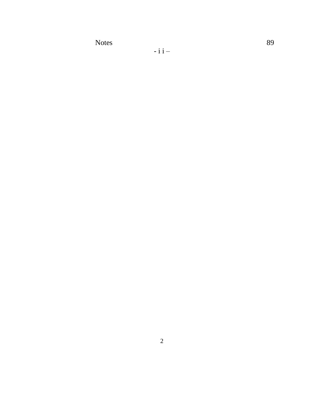Notes 89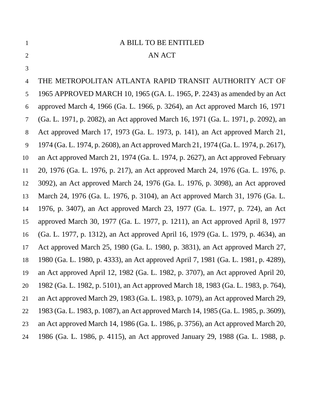# A BILL TO BE ENTITLED

### 2 AN ACT

 THE METROPOLITAN ATLANTA RAPID TRANSIT AUTHORITY ACT OF 1965 APPROVED MARCH 10, 1965 (GA. L. 1965, P. 2243) as amended by an Act approved March 4, 1966 (Ga. L. 1966, p. 3264), an Act approved March 16, 1971 (Ga. L. 1971, p. 2082), an Act approved March 16, 1971 (Ga. L. 1971, p. 2092), an Act approved March 17, 1973 (Ga. L. 1973, p. 141), an Act approved March 21, 1974 (Ga. L. 1974, p. 2608), an Act approved March 21, 1974 (Ga. L. 1974, p. 2617), an Act approved March 21, 1974 (Ga. L. 1974, p. 2627), an Act approved February 20, 1976 (Ga. L. 1976, p. 217), an Act approved March 24, 1976 (Ga. L. 1976, p. 3092), an Act approved March 24, 1976 (Ga. L. 1976, p. 3098), an Act approved March 24, 1976 (Ga. L. 1976, p. 3104), an Act approved March 31, 1976 (Ga. L. 1976, p. 3407), an Act approved March 23, 1977 (Ga. L. 1977, p. 724), an Act approved March 30, 1977 (Ga. L. 1977, p. 1211), an Act approved April 8, 1977 (Ga. L. 1977, p. 1312), an Act approved April 16, 1979 (Ga. L. 1979, p. 4634), an Act approved March 25, 1980 (Ga. L. 1980, p. 3831), an Act approved March 27, 1980 (Ga. L. 1980, p. 4333), an Act approved April 7, 1981 (Ga. L. 1981, p. 4289), an Act approved April 12, 1982 (Ga. L. 1982, p. 3707), an Act approved April 20, 1982 (Ga. L. 1982, p. 5101), an Act approved March 18, 1983 (Ga. L. 1983, p. 764), an Act approved March 29, 1983 (Ga. L. 1983, p. 1079), an Act approved March 29, 1983 (Ga. L. 1983, p. 1087), an Act approved March 14, 1985 (Ga. L. 1985, p. 3609), an Act approved March 14, 1986 (Ga. L. 1986, p. 3756), an Act approved March 20, 1986 (Ga. L. 1986, p. 4115), an Act approved January 29, 1988 (Ga. L. 1988, p.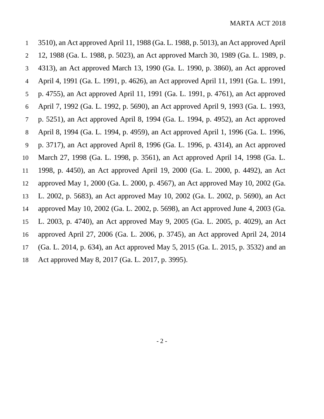3510), an Act approved April 11, 1988 (Ga. L. 1988, p. 5013), an Act approved April 12, 1988 (Ga. L. 1988, p. 5023), an Act approved March 30, 1989 (Ga. L. 1989, p. 4313), an Act approved March 13, 1990 (Ga. L. 1990, p. 3860), an Act approved April 4, 1991 (Ga. L. 1991, p. 4626), an Act approved April 11, 1991 (Ga. L. 1991, p. 4755), an Act approved April 11, 1991 (Ga. L. 1991, p. 4761), an Act approved April 7, 1992 (Ga. L. 1992, p. 5690), an Act approved April 9, 1993 (Ga. L. 1993, p. 5251), an Act approved April 8, 1994 (Ga. L. 1994, p. 4952), an Act approved April 8, 1994 (Ga. L. 1994, p. 4959), an Act approved April 1, 1996 (Ga. L. 1996, p. 3717), an Act approved April 8, 1996 (Ga. L. 1996, p. 4314), an Act approved March 27, 1998 (Ga. L. 1998, p. 3561), an Act approved April 14, 1998 (Ga. L. 1998, p. 4450), an Act approved April 19, 2000 (Ga. L. 2000, p. 4492), an Act approved May 1, 2000 (Ga. L. 2000, p. 4567), an Act approved May 10, 2002 (Ga. L. 2002, p. 5683), an Act approved May 10, 2002 (Ga. L. 2002, p. 5690), an Act approved May 10, 2002 (Ga. L. 2002, p. 5698), an Act approved June 4, 2003 (Ga. L. 2003, p. 4740), an Act approved May 9, 2005 (Ga. L. 2005, p. 4029), an Act approved April 27, 2006 (Ga. L. 2006, p. 3745), an Act approved April 24, 2014 (Ga. L. 2014, p. 634), an Act approved May 5, 2015 (Ga. L. 2015, p. 3532) and an Act approved May 8, 2017 (Ga. L. 2017, p. 3995).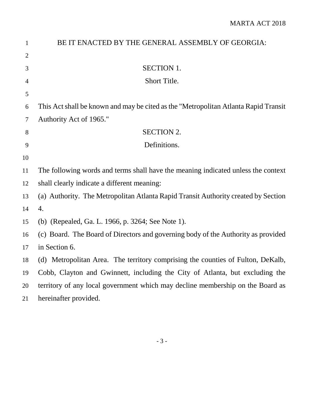| $\mathbf{1}$   | BE IT ENACTED BY THE GENERAL ASSEMBLY OF GEORGIA:                                   |
|----------------|-------------------------------------------------------------------------------------|
| $\overline{2}$ |                                                                                     |
| 3              | <b>SECTION 1.</b>                                                                   |
| $\overline{4}$ | Short Title.                                                                        |
| 5              |                                                                                     |
| 6              | This Act shall be known and may be cited as the "Metropolitan Atlanta Rapid Transit |
| $\tau$         | Authority Act of 1965."                                                             |
| 8              | <b>SECTION 2.</b>                                                                   |
| 9              | Definitions.                                                                        |
| 10             |                                                                                     |
| 11             | The following words and terms shall have the meaning indicated unless the context   |
| 12             | shall clearly indicate a different meaning:                                         |
| 13             | (a) Authority. The Metropolitan Atlanta Rapid Transit Authority created by Section  |
| 14             | 4.                                                                                  |
| 15             | (b) (Repealed, Ga. L. 1966, p. 3264; See Note 1).                                   |
| 16             | (c) Board. The Board of Directors and governing body of the Authority as provided   |
| 17             | in Section 6.                                                                       |
| 18             | (d) Metropolitan Area. The territory comprising the counties of Fulton, DeKalb,     |
| 19             | Cobb, Clayton and Gwinnett, including the City of Atlanta, but excluding the        |
| 20             | territory of any local government which may decline membership on the Board as      |
| 21             | hereinafter provided.                                                               |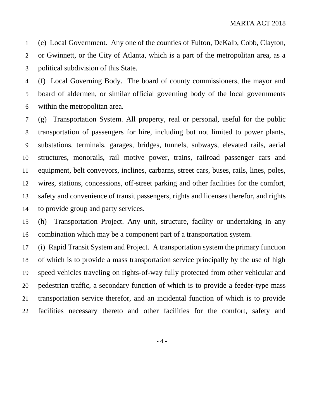(e) Local Government. Any one of the counties of Fulton, DeKalb, Cobb, Clayton, or Gwinnett, or the City of Atlanta, which is a part of the metropolitan area, as a political subdivision of this State.

 (f) Local Governing Body. The board of county commissioners, the mayor and board of aldermen, or similar official governing body of the local governments within the metropolitan area.

 (g) Transportation System. All property, real or personal, useful for the public transportation of passengers for hire, including but not limited to power plants, substations, terminals, garages, bridges, tunnels, subways, elevated rails, aerial structures, monorails, rail motive power, trains, railroad passenger cars and equipment, belt conveyors, inclines, carbarns, street cars, buses, rails, lines, poles, wires, stations, concessions, off-street parking and other facilities for the comfort, safety and convenience of transit passengers, rights and licenses therefor, and rights to provide group and party services.

 (h) Transportation Project. Any unit, structure, facility or undertaking in any combination which may be a component part of a transportation system.

 (i) Rapid Transit System and Project. A transportation system the primary function of which is to provide a mass transportation service principally by the use of high speed vehicles traveling on rights-of-way fully protected from other vehicular and pedestrian traffic, a secondary function of which is to provide a feeder-type mass transportation service therefor, and an incidental function of which is to provide facilities necessary thereto and other facilities for the comfort, safety and

- 4 -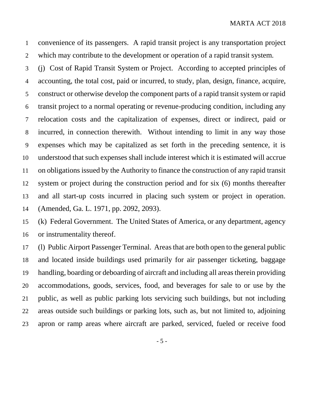convenience of its passengers. A rapid transit project is any transportation project which may contribute to the development or operation of a rapid transit system.

 (j) Cost of Rapid Transit System or Project. According to accepted principles of accounting, the total cost, paid or incurred, to study, plan, design, finance, acquire, construct or otherwise develop the component parts of a rapid transit system or rapid transit project to a normal operating or revenue-producing condition, including any relocation costs and the capitalization of expenses, direct or indirect, paid or incurred, in connection therewith. Without intending to limit in any way those expenses which may be capitalized as set forth in the preceding sentence, it is understood that such expenses shall include interest which it is estimated will accrue on obligations issued by the Authority to finance the construction of any rapid transit system or project during the construction period and for six (6) months thereafter and all start-up costs incurred in placing such system or project in operation. (Amended, Ga. L. 1971, pp. 2092, 2093).

 (k) Federal Government. The United States of America, or any department, agency or instrumentality thereof.

 (l) Public Airport Passenger Terminal. Areas that are both open to the general public and located inside buildings used primarily for air passenger ticketing, baggage handling, boarding or deboarding of aircraft and including all areas therein providing accommodations, goods, services, food, and beverages for sale to or use by the public, as well as public parking lots servicing such buildings, but not including areas outside such buildings or parking lots, such as, but not limited to, adjoining apron or ramp areas where aircraft are parked, serviced, fueled or receive food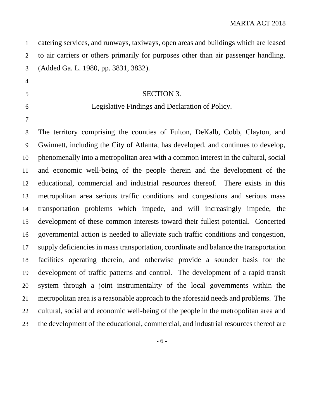| $\mathbf{1}$   | catering services, and runways, taxiways, open areas and buildings which are leased   |
|----------------|---------------------------------------------------------------------------------------|
| $\overline{2}$ | to air carriers or others primarily for purposes other than air passenger handling.   |
| 3              | (Added Ga. L. 1980, pp. 3831, 3832).                                                  |
| $\overline{4}$ |                                                                                       |
| 5              | <b>SECTION 3.</b>                                                                     |
| 6              | Legislative Findings and Declaration of Policy.                                       |
| 7              |                                                                                       |
| 8              | The territory comprising the counties of Fulton, DeKalb, Cobb, Clayton, and           |
| 9              | Gwinnett, including the City of Atlanta, has developed, and continues to develop,     |
| 10             | phenomenally into a metropolitan area with a common interest in the cultural, social  |
| 11             | and economic well-being of the people therein and the development of the              |
| 12             | educational, commercial and industrial resources thereof. There exists in this        |
| 13             | metropolitan area serious traffic conditions and congestions and serious mass         |
| 14             | transportation problems which impede, and will increasingly impede, the               |
| 15             | development of these common interests toward their fullest potential. Concerted       |
| 16             | governmental action is needed to alleviate such traffic conditions and congestion,    |
| 17             | supply deficiencies in mass transportation, coordinate and balance the transportation |
| 18             | facilities operating therein, and otherwise provide a sounder basis for the           |
| 19             | development of traffic patterns and control. The development of a rapid transit       |
| 20             | system through a joint instrumentality of the local governments within the            |
| 21             | metropolitan area is a reasonable approach to the aforesaid needs and problems. The   |
| 22             | cultural, social and economic well-being of the people in the metropolitan area and   |
| 23             | the development of the educational, commercial, and industrial resources thereof are  |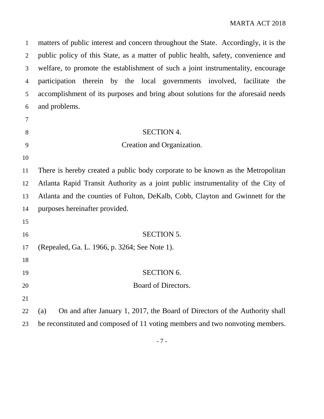matters of public interest and concern throughout the State. Accordingly, it is the public policy of this State, as a matter of public health, safety, convenience and welfare, to promote the establishment of such a joint instrumentality, encourage participation therein by the local governments involved, facilitate the accomplishment of its purposes and bring about solutions for the aforesaid needs and problems. 8 SECTION 4. Creation and Organization.

 There is hereby created a public body corporate to be known as the Metropolitan Atlanta Rapid Transit Authority as a joint public instrumentality of the City of Atlanta and the counties of Fulton, DeKalb, Cobb, Clayton and Gwinnett for the purposes hereinafter provided.

 SECTION 5. (Repealed, Ga. L. 1966, p. 3264; See Note 1). 19 SECTION 6.

- 20 Board of Directors.
- 

 (a) On and after January 1, 2017, the Board of Directors of the Authority shall be reconstituted and composed of 11 voting members and two nonvoting members.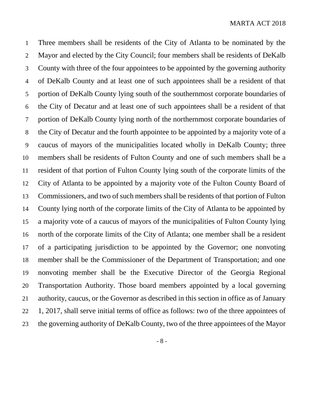Three members shall be residents of the City of Atlanta to be nominated by the Mayor and elected by the City Council; four members shall be residents of DeKalb County with three of the four appointees to be appointed by the governing authority of DeKalb County and at least one of such appointees shall be a resident of that portion of DeKalb County lying south of the southernmost corporate boundaries of the City of Decatur and at least one of such appointees shall be a resident of that portion of DeKalb County lying north of the northernmost corporate boundaries of the City of Decatur and the fourth appointee to be appointed by a majority vote of a caucus of mayors of the municipalities located wholly in DeKalb County; three members shall be residents of Fulton County and one of such members shall be a resident of that portion of Fulton County lying south of the corporate limits of the City of Atlanta to be appointed by a majority vote of the Fulton County Board of Commissioners, and two of such members shall be residents of that portion of Fulton County lying north of the corporate limits of the City of Atlanta to be appointed by a majority vote of a caucus of mayors of the municipalities of Fulton County lying north of the corporate limits of the City of Atlanta; one member shall be a resident of a participating jurisdiction to be appointed by the Governor; one nonvoting member shall be the Commissioner of the Department of Transportation; and one nonvoting member shall be the Executive Director of the Georgia Regional Transportation Authority. Those board members appointed by a local governing authority, caucus, or the Governor as described in this section in office as of January 1, 2017, shall serve initial terms of office as follows: two of the three appointees of the governing authority of DeKalb County, two of the three appointees of the Mayor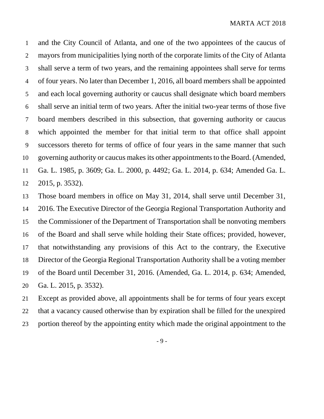and the City Council of Atlanta, and one of the two appointees of the caucus of mayors from municipalities lying north of the corporate limits of the City of Atlanta shall serve a term of two years, and the remaining appointees shall serve for terms of four years. No later than December 1, 2016, all board members shall be appointed and each local governing authority or caucus shall designate which board members shall serve an initial term of two years. After the initial two-year terms of those five board members described in this subsection, that governing authority or caucus which appointed the member for that initial term to that office shall appoint successors thereto for terms of office of four years in the same manner that such governing authority or caucus makes its other appointments to the Board. (Amended, Ga. L. 1985, p. 3609; Ga. L. 2000, p. 4492; Ga. L. 2014, p. 634; Amended Ga. L. 2015, p. 3532).

 Those board members in office on May 31, 2014, shall serve until December 31, 2016. The Executive Director of the Georgia Regional Transportation Authority and the Commissioner of the Department of Transportation shall be nonvoting members of the Board and shall serve while holding their State offices; provided, however, that notwithstanding any provisions of this Act to the contrary, the Executive Director of the Georgia Regional Transportation Authority shall be a voting member of the Board until December 31, 2016. (Amended, Ga. L. 2014, p. 634; Amended, Ga. L. 2015, p. 3532).

 Except as provided above, all appointments shall be for terms of four years except that a vacancy caused otherwise than by expiration shall be filled for the unexpired portion thereof by the appointing entity which made the original appointment to the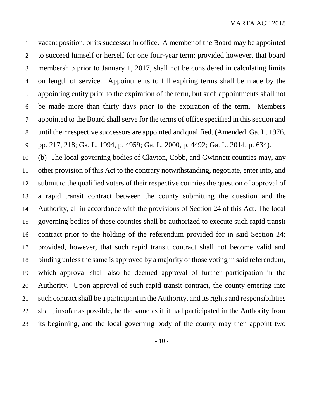vacant position, or its successor in office. A member of the Board may be appointed to succeed himself or herself for one four-year term; provided however, that board membership prior to January 1, 2017, shall not be considered in calculating limits on length of service. Appointments to fill expiring terms shall be made by the appointing entity prior to the expiration of the term, but such appointments shall not be made more than thirty days prior to the expiration of the term. Members appointed to the Board shall serve for the terms of office specified in this section and until their respective successors are appointed and qualified. (Amended, Ga. L. 1976, pp. 217, 218; Ga. L. 1994, p. 4959; Ga. L. 2000, p. 4492; Ga. L. 2014, p. 634).

 (b) The local governing bodies of Clayton, Cobb, and Gwinnett counties may, any other provision of this Act to the contrary notwithstanding, negotiate, enter into, and submit to the qualified voters of their respective counties the question of approval of a rapid transit contract between the county submitting the question and the Authority, all in accordance with the provisions of Section 24 of this Act. The local governing bodies of these counties shall be authorized to execute such rapid transit contract prior to the holding of the referendum provided for in said Section 24; provided, however, that such rapid transit contract shall not become valid and binding unless the same is approved by a majority of those voting in said referendum, which approval shall also be deemed approval of further participation in the Authority. Upon approval of such rapid transit contract, the county entering into such contract shall be a participant in the Authority, and its rights and responsibilities shall, insofar as possible, be the same as if it had participated in the Authority from its beginning, and the local governing body of the county may then appoint two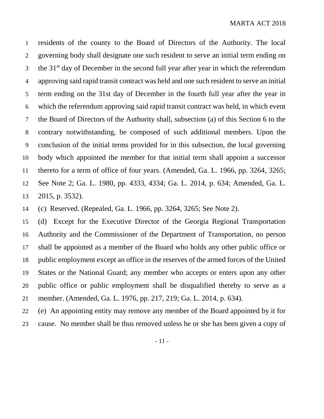residents of the county to the Board of Directors of the Authority. The local governing body shall designate one such resident to serve an initial term ending on the  $31<sup>st</sup>$  day of December in the second full year after year in which the referendum approving said rapid transit contract was held and one such resident to serve an initial term ending on the 31st day of December in the fourth full year after the year in which the referendum approving said rapid transit contract was held, in which event the Board of Directors of the Authority shall, subsection (a) of this Section 6 to the contrary notwithstanding, be composed of such additional members. Upon the conclusion of the initial terms provided for in this subsection, the local governing body which appointed the member for that initial term shall appoint a successor thereto for a term of office of four years. (Amended, Ga. L. 1966, pp. 3264, 3265; See Note 2; Ga. L. 1980, pp. 4333, 4334; Ga. L. 2014, p. 634; Amended, Ga. L. 2015, p. 3532).

(c) Reserved. (Repealed, Ga. L. 1966, pp. 3264, 3265; See Note 2).

 (d) Except for the Executive Director of the Georgia Regional Transportation Authority and the Commissioner of the Department of Transportation, no person shall be appointed as a member of the Board who holds any other public office or public employment except an office in the reserves of the armed forces of the United States or the National Guard; any member who accepts or enters upon any other public office or public employment shall be disqualified thereby to serve as a member. (Amended, Ga. L. 1976, pp. 217, 219; Ga. L. 2014, p. 634).

(e) An appointing entity may remove any member of the Board appointed by it for

cause. No member shall be thus removed unless he or she has been given a copy of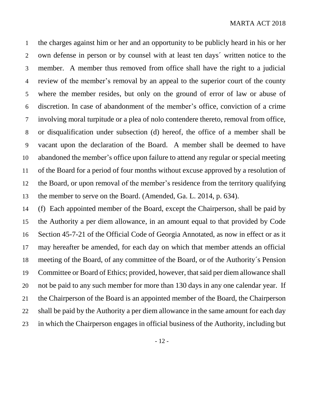the charges against him or her and an opportunity to be publicly heard in his or her own defense in person or by counsel with at least ten days´ written notice to the member. A member thus removed from office shall have the right to a judicial review of the member's removal by an appeal to the superior court of the county where the member resides, but only on the ground of error of law or abuse of discretion. In case of abandonment of the member's office, conviction of a crime involving moral turpitude or a plea of nolo contendere thereto, removal from office, or disqualification under subsection (d) hereof, the office of a member shall be vacant upon the declaration of the Board. A member shall be deemed to have abandoned the member's office upon failure to attend any regular or special meeting of the Board for a period of four months without excuse approved by a resolution of the Board, or upon removal of the member's residence from the territory qualifying the member to serve on the Board. (Amended, Ga. L. 2014, p. 634).

 (f) Each appointed member of the Board, except the Chairperson, shall be paid by the Authority a per diem allowance, in an amount equal to that provided by Code Section 45-7-21 of the Official Code of Georgia Annotated, as now in effect or as it may hereafter be amended, for each day on which that member attends an official meeting of the Board, of any committee of the Board, or of the Authority´s Pension Committee or Board of Ethics; provided, however, that said per diem allowance shall not be paid to any such member for more than 130 days in any one calendar year. If the Chairperson of the Board is an appointed member of the Board, the Chairperson shall be paid by the Authority a per diem allowance in the same amount for each day in which the Chairperson engages in official business of the Authority, including but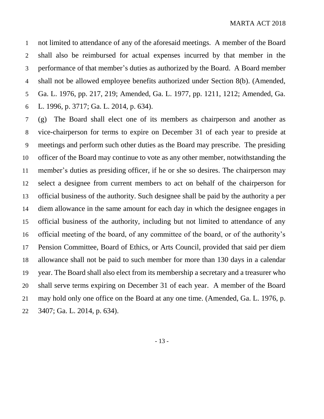not limited to attendance of any of the aforesaid meetings. A member of the Board shall also be reimbursed for actual expenses incurred by that member in the performance of that member's duties as authorized by the Board. A Board member shall not be allowed employee benefits authorized under Section 8(b). (Amended, Ga. L. 1976, pp. 217, 219; Amended, Ga. L. 1977, pp. 1211, 1212; Amended, Ga. L. 1996, p. 3717; Ga. L. 2014, p. 634).

 (g) The Board shall elect one of its members as chairperson and another as vice-chairperson for terms to expire on December 31 of each year to preside at meetings and perform such other duties as the Board may prescribe. The presiding officer of the Board may continue to vote as any other member, notwithstanding the member's duties as presiding officer, if he or she so desires. The chairperson may select a designee from current members to act on behalf of the chairperson for official business of the authority. Such designee shall be paid by the authority a per diem allowance in the same amount for each day in which the designee engages in official business of the authority, including but not limited to attendance of any official meeting of the board, of any committee of the board, or of the authority's Pension Committee, Board of Ethics, or Arts Council, provided that said per diem allowance shall not be paid to such member for more than 130 days in a calendar year. The Board shall also elect from its membership a secretary and a treasurer who shall serve terms expiring on December 31 of each year. A member of the Board may hold only one office on the Board at any one time. (Amended, Ga. L. 1976, p. 3407; Ga. L. 2014, p. 634).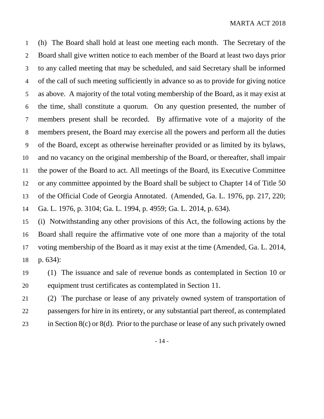(h) The Board shall hold at least one meeting each month. The Secretary of the Board shall give written notice to each member of the Board at least two days prior to any called meeting that may be scheduled, and said Secretary shall be informed of the call of such meeting sufficiently in advance so as to provide for giving notice as above. A majority of the total voting membership of the Board, as it may exist at the time, shall constitute a quorum. On any question presented, the number of members present shall be recorded. By affirmative vote of a majority of the members present, the Board may exercise all the powers and perform all the duties of the Board, except as otherwise hereinafter provided or as limited by its bylaws, and no vacancy on the original membership of the Board, or thereafter, shall impair the power of the Board to act. All meetings of the Board, its Executive Committee or any committee appointed by the Board shall be subject to Chapter 14 of Title 50 of the Official Code of Georgia Annotated. (Amended, Ga. L. 1976, pp. 217, 220; Ga. L. 1976, p. 3104; Ga. L. 1994, p. 4959; Ga. L. 2014, p. 634).

 (i) Notwithstanding any other provisions of this Act, the following actions by the Board shall require the affirmative vote of one more than a majority of the total voting membership of the Board as it may exist at the time (Amended, Ga. L. 2014, p. 634):

 (1) The issuance and sale of revenue bonds as contemplated in Section 10 or equipment trust certificates as contemplated in Section 11.

 (2) The purchase or lease of any privately owned system of transportation of passengers for hire in its entirety, or any substantial part thereof, as contemplated in Section 8(c) or 8(d). Prior to the purchase or lease of any such privately owned

- 14 -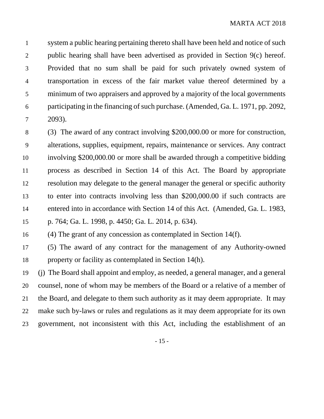system a public hearing pertaining thereto shall have been held and notice of such public hearing shall have been advertised as provided in Section 9(c) hereof. Provided that no sum shall be paid for such privately owned system of transportation in excess of the fair market value thereof determined by a minimum of two appraisers and approved by a majority of the local governments participating in the financing of such purchase. (Amended, Ga. L. 1971, pp. 2092, 2093).

 (3) The award of any contract involving \$200,000.00 or more for construction, alterations, supplies, equipment, repairs, maintenance or services. Any contract involving \$200,000.00 or more shall be awarded through a competitive bidding process as described in Section 14 of this Act. The Board by appropriate resolution may delegate to the general manager the general or specific authority to enter into contracts involving less than \$200,000.00 if such contracts are entered into in accordance with Section 14 of this Act. (Amended, Ga. L. 1983, p. 764; Ga. L. 1998, p. 4450; Ga. L. 2014, p. 634).

(4) The grant of any concession as contemplated in Section 14(f).

 (5) The award of any contract for the management of any Authority-owned property or facility as contemplated in Section 14(h).

 (j) The Board shall appoint and employ, as needed, a general manager, and a general counsel, none of whom may be members of the Board or a relative of a member of the Board, and delegate to them such authority as it may deem appropriate. It may make such by-laws or rules and regulations as it may deem appropriate for its own government, not inconsistent with this Act, including the establishment of an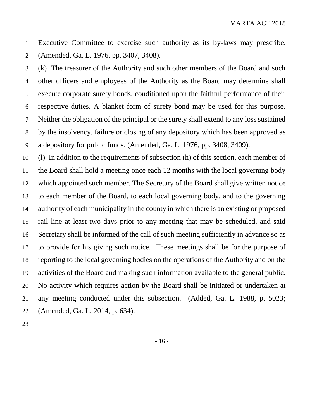Executive Committee to exercise such authority as its by-laws may prescribe. (Amended, Ga. L. 1976, pp. 3407, 3408).

 (k) The treasurer of the Authority and such other members of the Board and such other officers and employees of the Authority as the Board may determine shall execute corporate surety bonds, conditioned upon the faithful performance of their respective duties. A blanket form of surety bond may be used for this purpose. Neither the obligation of the principal or the surety shall extend to any loss sustained by the insolvency, failure or closing of any depository which has been approved as a depository for public funds. (Amended, Ga. L. 1976, pp. 3408, 3409).

 (l) In addition to the requirements of subsection (h) of this section, each member of the Board shall hold a meeting once each 12 months with the local governing body which appointed such member. The Secretary of the Board shall give written notice to each member of the Board, to each local governing body, and to the governing authority of each municipality in the county in which there is an existing or proposed rail line at least two days prior to any meeting that may be scheduled, and said Secretary shall be informed of the call of such meeting sufficiently in advance so as to provide for his giving such notice. These meetings shall be for the purpose of reporting to the local governing bodies on the operations of the Authority and on the activities of the Board and making such information available to the general public. No activity which requires action by the Board shall be initiated or undertaken at any meeting conducted under this subsection. (Added, Ga. L. 1988, p. 5023; (Amended, Ga. L. 2014, p. 634).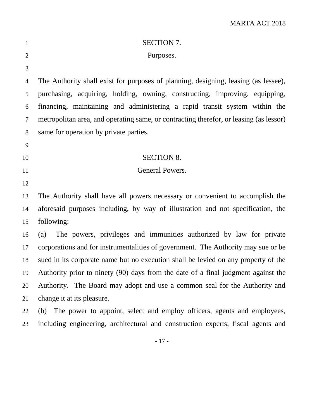| $\mathbf{1}$   | <b>SECTION 7.</b>                                                                      |
|----------------|----------------------------------------------------------------------------------------|
| $\overline{2}$ | Purposes.                                                                              |
| 3              |                                                                                        |
| 4              | The Authority shall exist for purposes of planning, designing, leasing (as lessee),    |
| 5              | purchasing, acquiring, holding, owning, constructing, improving, equipping,            |
| 6              | financing, maintaining and administering a rapid transit system within the             |
| $\tau$         | metropolitan area, and operating same, or contracting therefor, or leasing (as lessor) |
| 8              | same for operation by private parties.                                                 |
| 9              |                                                                                        |
| 10             | <b>SECTION 8.</b>                                                                      |
| 11             | General Powers.                                                                        |
| 12             |                                                                                        |
| 13             | The Authority shall have all powers necessary or convenient to accomplish the          |
| 14             | aforesaid purposes including, by way of illustration and not specification, the        |
| 15             | following:                                                                             |
| 16             | The powers, privileges and immunities authorized by law for private<br>(a)             |
| 17             | corporations and for instrumentalities of government. The Authority may sue or be      |
| 18             | sued in its corporate name but no execution shall be levied on any property of the     |
| 19             | Authority prior to ninety (90) days from the date of a final judgment against the      |
| 20             | Authority. The Board may adopt and use a common seal for the Authority and             |
| 21             | change it at its pleasure.                                                             |
| 22             | (b) The power to appoint, select and employ officers, agents and employees,            |
| 23             | including engineering, architectural and construction experts, fiscal agents and       |
|                |                                                                                        |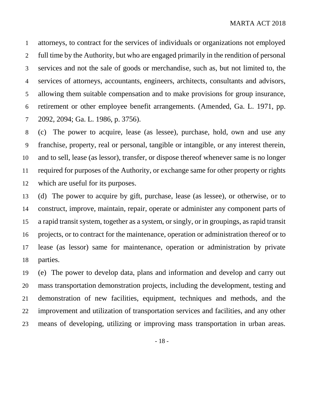attorneys, to contract for the services of individuals or organizations not employed full time by the Authority, but who are engaged primarily in the rendition of personal services and not the sale of goods or merchandise, such as, but not limited to, the services of attorneys, accountants, engineers, architects, consultants and advisors, allowing them suitable compensation and to make provisions for group insurance, retirement or other employee benefit arrangements. (Amended, Ga. L. 1971, pp. 2092, 2094; Ga. L. 1986, p. 3756).

 (c) The power to acquire, lease (as lessee), purchase, hold, own and use any franchise, property, real or personal, tangible or intangible, or any interest therein, and to sell, lease (as lessor), transfer, or dispose thereof whenever same is no longer required for purposes of the Authority, or exchange same for other property or rights which are useful for its purposes.

 (d) The power to acquire by gift, purchase, lease (as lessee), or otherwise, or to construct, improve, maintain, repair, operate or administer any component parts of a rapid transit system, together as a system, or singly, or in groupings, as rapid transit projects, or to contract for the maintenance, operation or administration thereof or to lease (as lessor) same for maintenance, operation or administration by private parties.

 (e) The power to develop data, plans and information and develop and carry out mass transportation demonstration projects, including the development, testing and demonstration of new facilities, equipment, techniques and methods, and the improvement and utilization of transportation services and facilities, and any other means of developing, utilizing or improving mass transportation in urban areas.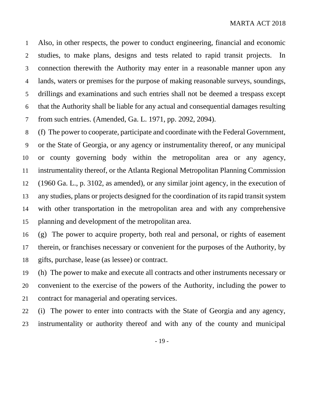Also, in other respects, the power to conduct engineering, financial and economic studies, to make plans, designs and tests related to rapid transit projects. In connection therewith the Authority may enter in a reasonable manner upon any lands, waters or premises for the purpose of making reasonable surveys, soundings, drillings and examinations and such entries shall not be deemed a trespass except that the Authority shall be liable for any actual and consequential damages resulting from such entries. (Amended, Ga. L. 1971, pp. 2092, 2094).

 (f) The power to cooperate, participate and coordinate with the Federal Government, or the State of Georgia, or any agency or instrumentality thereof, or any municipal or county governing body within the metropolitan area or any agency, instrumentality thereof, or the Atlanta Regional Metropolitan Planning Commission (1960 Ga. L., p. 3102, as amended), or any similar joint agency, in the execution of any studies, plans or projects designed for the coordination of its rapid transit system with other transportation in the metropolitan area and with any comprehensive planning and development of the metropolitan area.

 (g) The power to acquire property, both real and personal, or rights of easement therein, or franchises necessary or convenient for the purposes of the Authority, by gifts, purchase, lease (as lessee) or contract.

 (h) The power to make and execute all contracts and other instruments necessary or convenient to the exercise of the powers of the Authority, including the power to contract for managerial and operating services.

 (i) The power to enter into contracts with the State of Georgia and any agency, instrumentality or authority thereof and with any of the county and municipal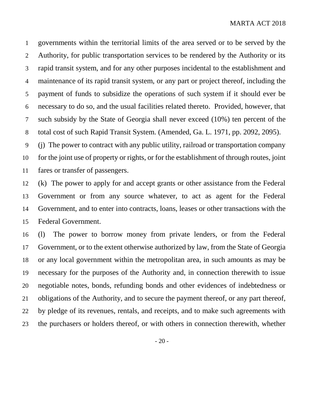governments within the territorial limits of the area served or to be served by the Authority, for public transportation services to be rendered by the Authority or its rapid transit system, and for any other purposes incidental to the establishment and maintenance of its rapid transit system, or any part or project thereof, including the payment of funds to subsidize the operations of such system if it should ever be necessary to do so, and the usual facilities related thereto. Provided, however, that such subsidy by the State of Georgia shall never exceed (10%) ten percent of the total cost of such Rapid Transit System. (Amended, Ga. L. 1971, pp. 2092, 2095).

 (j) The power to contract with any public utility, railroad or transportation company for the joint use of property or rights, or for the establishment of through routes, joint fares or transfer of passengers.

 (k) The power to apply for and accept grants or other assistance from the Federal Government or from any source whatever, to act as agent for the Federal Government, and to enter into contracts, loans, leases or other transactions with the Federal Government.

 (l) The power to borrow money from private lenders, or from the Federal Government, or to the extent otherwise authorized by law, from the State of Georgia or any local government within the metropolitan area, in such amounts as may be necessary for the purposes of the Authority and, in connection therewith to issue negotiable notes, bonds, refunding bonds and other evidences of indebtedness or obligations of the Authority, and to secure the payment thereof, or any part thereof, by pledge of its revenues, rentals, and receipts, and to make such agreements with the purchasers or holders thereof, or with others in connection therewith, whether

- 20 -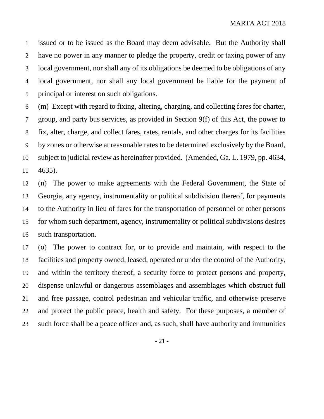issued or to be issued as the Board may deem advisable. But the Authority shall have no power in any manner to pledge the property, credit or taxing power of any local government, nor shall any of its obligations be deemed to be obligations of any local government, nor shall any local government be liable for the payment of principal or interest on such obligations.

 (m) Except with regard to fixing, altering, charging, and collecting fares for charter, group, and party bus services, as provided in Section 9(f) of this Act, the power to fix, alter, charge, and collect fares, rates, rentals, and other charges for its facilities by zones or otherwise at reasonable rates to be determined exclusively by the Board, subject to judicial review as hereinafter provided. (Amended, Ga. L. 1979, pp. 4634, 4635).

 (n) The power to make agreements with the Federal Government, the State of Georgia, any agency, instrumentality or political subdivision thereof, for payments to the Authority in lieu of fares for the transportation of personnel or other persons for whom such department, agency, instrumentality or political subdivisions desires such transportation.

 (o) The power to contract for, or to provide and maintain, with respect to the facilities and property owned, leased, operated or under the control of the Authority, and within the territory thereof, a security force to protect persons and property, dispense unlawful or dangerous assemblages and assemblages which obstruct full and free passage, control pedestrian and vehicular traffic, and otherwise preserve and protect the public peace, health and safety. For these purposes, a member of such force shall be a peace officer and, as such, shall have authority and immunities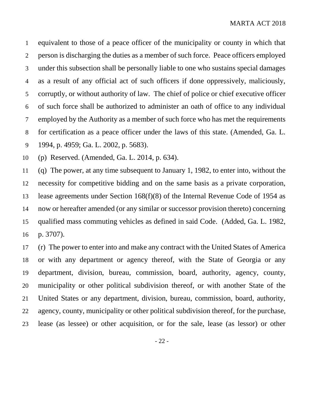equivalent to those of a peace officer of the municipality or county in which that person is discharging the duties as a member of such force. Peace officers employed under this subsection shall be personally liable to one who sustains special damages as a result of any official act of such officers if done oppressively, maliciously, corruptly, or without authority of law. The chief of police or chief executive officer of such force shall be authorized to administer an oath of office to any individual employed by the Authority as a member of such force who has met the requirements for certification as a peace officer under the laws of this state. (Amended, Ga. L. 1994, p. 4959; Ga. L. 2002, p. 5683).

(p) Reserved. (Amended, Ga. L. 2014, p. 634).

 (q) The power, at any time subsequent to January 1, 1982, to enter into, without the necessity for competitive bidding and on the same basis as a private corporation, lease agreements under Section 168(f)(8) of the Internal Revenue Code of 1954 as now or hereafter amended (or any similar or successor provision thereto) concerning qualified mass commuting vehicles as defined in said Code. (Added, Ga. L. 1982, p. 3707).

 (r) The power to enter into and make any contract with the United States of America or with any department or agency thereof, with the State of Georgia or any department, division, bureau, commission, board, authority, agency, county, municipality or other political subdivision thereof, or with another State of the United States or any department, division, bureau, commission, board, authority, agency, county, municipality or other political subdivision thereof, for the purchase, lease (as lessee) or other acquisition, or for the sale, lease (as lessor) or other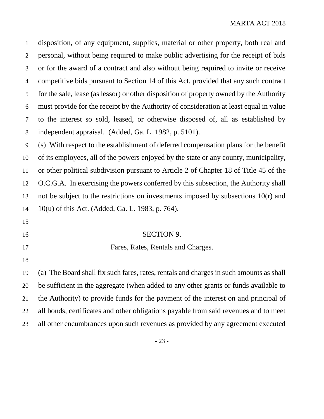disposition, of any equipment, supplies, material or other property, both real and personal, without being required to make public advertising for the receipt of bids or for the award of a contract and also without being required to invite or receive competitive bids pursuant to Section 14 of this Act, provided that any such contract for the sale, lease (as lessor) or other disposition of property owned by the Authority must provide for the receipt by the Authority of consideration at least equal in value to the interest so sold, leased, or otherwise disposed of, all as established by independent appraisal. (Added, Ga. L. 1982, p. 5101).

 (s) With respect to the establishment of deferred compensation plans for the benefit of its employees, all of the powers enjoyed by the state or any county, municipality, or other political subdivision pursuant to Article 2 of Chapter 18 of Title 45 of the O.C.G.A. In exercising the powers conferred by this subsection, the Authority shall not be subject to the restrictions on investments imposed by subsections 10(r) and 10(u) of this Act. (Added, Ga. L. 1983, p. 764).

- 
- 

#### SECTION 9.

- Fares, Rates, Rentals and Charges.
- 

 (a) The Board shall fix such fares, rates, rentals and charges in such amounts as shall be sufficient in the aggregate (when added to any other grants or funds available to the Authority) to provide funds for the payment of the interest on and principal of all bonds, certificates and other obligations payable from said revenues and to meet all other encumbrances upon such revenues as provided by any agreement executed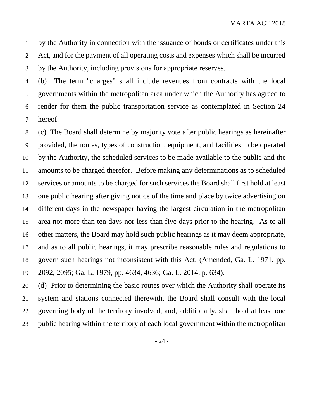by the Authority in connection with the issuance of bonds or certificates under this Act, and for the payment of all operating costs and expenses which shall be incurred by the Authority, including provisions for appropriate reserves.

 (b) The term "charges" shall include revenues from contracts with the local governments within the metropolitan area under which the Authority has agreed to render for them the public transportation service as contemplated in Section 24 hereof.

 (c) The Board shall determine by majority vote after public hearings as hereinafter provided, the routes, types of construction, equipment, and facilities to be operated by the Authority, the scheduled services to be made available to the public and the amounts to be charged therefor. Before making any determinations as to scheduled services or amounts to be charged for such services the Board shall first hold at least one public hearing after giving notice of the time and place by twice advertising on different days in the newspaper having the largest circulation in the metropolitan area not more than ten days nor less than five days prior to the hearing. As to all other matters, the Board may hold such public hearings as it may deem appropriate, and as to all public hearings, it may prescribe reasonable rules and regulations to govern such hearings not inconsistent with this Act. (Amended, Ga. L. 1971, pp. 2092, 2095; Ga. L. 1979, pp. 4634, 4636; Ga. L. 2014, p. 634).

 (d) Prior to determining the basic routes over which the Authority shall operate its system and stations connected therewith, the Board shall consult with the local governing body of the territory involved, and, additionally, shall hold at least one public hearing within the territory of each local government within the metropolitan

- 24 -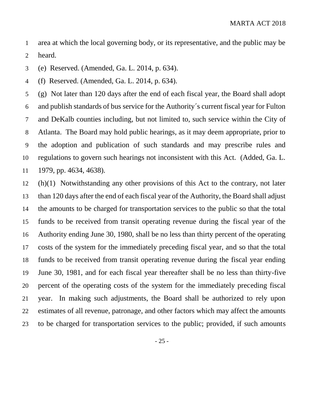area at which the local governing body, or its representative, and the public may be heard.

(e) Reserved. (Amended, Ga. L. 2014, p. 634).

(f) Reserved. (Amended, Ga. L. 2014, p. 634).

 (g) Not later than 120 days after the end of each fiscal year, the Board shall adopt and publish standards of bus service for the Authority´s current fiscal year for Fulton and DeKalb counties including, but not limited to, such service within the City of Atlanta. The Board may hold public hearings, as it may deem appropriate, prior to the adoption and publication of such standards and may prescribe rules and regulations to govern such hearings not inconsistent with this Act. (Added, Ga. L. 1979, pp. 4634, 4638).

 (h)(1) Notwithstanding any other provisions of this Act to the contrary, not later than 120 days after the end of each fiscal year of the Authority, the Board shall adjust the amounts to be charged for transportation services to the public so that the total funds to be received from transit operating revenue during the fiscal year of the Authority ending June 30, 1980, shall be no less than thirty percent of the operating costs of the system for the immediately preceding fiscal year, and so that the total funds to be received from transit operating revenue during the fiscal year ending June 30, 1981, and for each fiscal year thereafter shall be no less than thirty-five percent of the operating costs of the system for the immediately preceding fiscal year. In making such adjustments, the Board shall be authorized to rely upon estimates of all revenue, patronage, and other factors which may affect the amounts to be charged for transportation services to the public; provided, if such amounts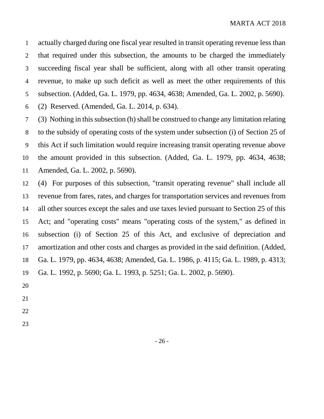actually charged during one fiscal year resulted in transit operating revenue less than that required under this subsection, the amounts to be charged the immediately succeeding fiscal year shall be sufficient, along with all other transit operating revenue, to make up such deficit as well as meet the other requirements of this subsection. (Added, Ga. L. 1979, pp. 4634, 4638; Amended, Ga. L. 2002, p. 5690). (2) Reserved. (Amended, Ga. L. 2014, p. 634).

 (3) Nothing in this subsection (h) shall be construed to change any limitation relating to the subsidy of operating costs of the system under subsection (i) of Section 25 of this Act if such limitation would require increasing transit operating revenue above the amount provided in this subsection. (Added, Ga. L. 1979, pp. 4634, 4638; Amended, Ga. L. 2002, p. 5690).

 (4) For purposes of this subsection, "transit operating revenue" shall include all revenue from fares, rates, and charges for transportation services and revenues from all other sources except the sales and use taxes levied pursuant to Section 25 of this Act; and "operating costs" means "operating costs of the system," as defined in subsection (i) of Section 25 of this Act, and exclusive of depreciation and amortization and other costs and charges as provided in the said definition. (Added, Ga. L. 1979, pp. 4634, 4638; Amended, Ga. L. 1986, p. 4115; Ga. L. 1989, p. 4313; Ga. L. 1992, p. 5690; Ga. L. 1993, p. 5251; Ga. L. 2002, p. 5690).

- 
- 
- 
-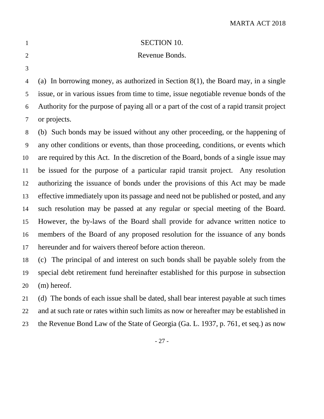Revenue Bonds.

 (a) In borrowing money, as authorized in Section 8(1), the Board may, in a single issue, or in various issues from time to time, issue negotiable revenue bonds of the Authority for the purpose of paying all or a part of the cost of a rapid transit project or projects.

 (b) Such bonds may be issued without any other proceeding, or the happening of any other conditions or events, than those proceeding, conditions, or events which are required by this Act. In the discretion of the Board, bonds of a single issue may be issued for the purpose of a particular rapid transit project. Any resolution authorizing the issuance of bonds under the provisions of this Act may be made effective immediately upon its passage and need not be published or posted, and any such resolution may be passed at any regular or special meeting of the Board. However, the by-laws of the Board shall provide for advance written notice to members of the Board of any proposed resolution for the issuance of any bonds hereunder and for waivers thereof before action thereon.

 (c) The principal of and interest on such bonds shall be payable solely from the special debt retirement fund hereinafter established for this purpose in subsection (m) hereof.

 (d) The bonds of each issue shall be dated, shall bear interest payable at such times and at such rate or rates within such limits as now or hereafter may be established in the Revenue Bond Law of the State of Georgia (Ga. L. 1937, p. 761, et seq.) as now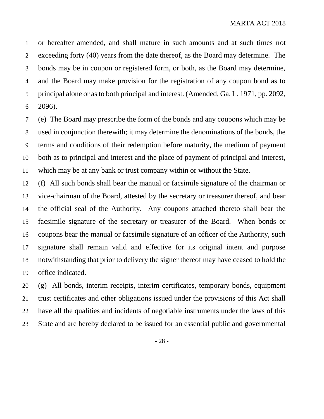or hereafter amended, and shall mature in such amounts and at such times not exceeding forty (40) years from the date thereof, as the Board may determine. The bonds may be in coupon or registered form, or both, as the Board may determine, and the Board may make provision for the registration of any coupon bond as to principal alone or as to both principal and interest. (Amended, Ga. L. 1971, pp. 2092, 2096).

 (e) The Board may prescribe the form of the bonds and any coupons which may be used in conjunction therewith; it may determine the denominations of the bonds, the terms and conditions of their redemption before maturity, the medium of payment both as to principal and interest and the place of payment of principal and interest, which may be at any bank or trust company within or without the State.

 (f) All such bonds shall bear the manual or facsimile signature of the chairman or vice-chairman of the Board, attested by the secretary or treasurer thereof, and bear the official seal of the Authority. Any coupons attached thereto shall bear the facsimile signature of the secretary or treasurer of the Board. When bonds or coupons bear the manual or facsimile signature of an officer of the Authority, such signature shall remain valid and effective for its original intent and purpose notwithstanding that prior to delivery the signer thereof may have ceased to hold the office indicated.

 (g) All bonds, interim receipts, interim certificates, temporary bonds, equipment trust certificates and other obligations issued under the provisions of this Act shall have all the qualities and incidents of negotiable instruments under the laws of this State and are hereby declared to be issued for an essential public and governmental

- 28 -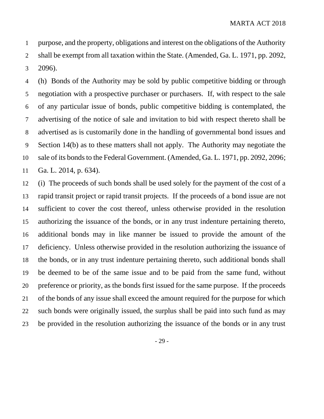purpose, and the property, obligations and interest on the obligations of the Authority shall be exempt from all taxation within the State. (Amended, Ga. L. 1971, pp. 2092, 2096).

 (h) Bonds of the Authority may be sold by public competitive bidding or through negotiation with a prospective purchaser or purchasers. If, with respect to the sale of any particular issue of bonds, public competitive bidding is contemplated, the advertising of the notice of sale and invitation to bid with respect thereto shall be advertised as is customarily done in the handling of governmental bond issues and Section 14(b) as to these matters shall not apply. The Authority may negotiate the sale of its bonds to the Federal Government. (Amended, Ga. L. 1971, pp. 2092, 2096; Ga. L. 2014, p. 634).

 (i) The proceeds of such bonds shall be used solely for the payment of the cost of a rapid transit project or rapid transit projects. If the proceeds of a bond issue are not sufficient to cover the cost thereof, unless otherwise provided in the resolution authorizing the issuance of the bonds, or in any trust indenture pertaining thereto, additional bonds may in like manner be issued to provide the amount of the deficiency. Unless otherwise provided in the resolution authorizing the issuance of the bonds, or in any trust indenture pertaining thereto, such additional bonds shall be deemed to be of the same issue and to be paid from the same fund, without preference or priority, as the bonds first issued for the same purpose. If the proceeds of the bonds of any issue shall exceed the amount required for the purpose for which such bonds were originally issued, the surplus shall be paid into such fund as may be provided in the resolution authorizing the issuance of the bonds or in any trust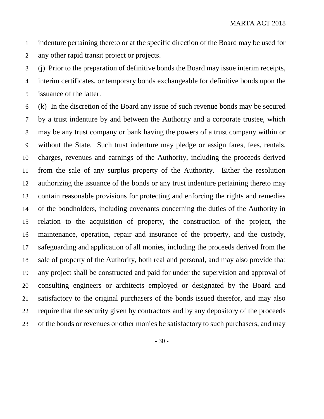indenture pertaining thereto or at the specific direction of the Board may be used for any other rapid transit project or projects.

 (j) Prior to the preparation of definitive bonds the Board may issue interim receipts, interim certificates, or temporary bonds exchangeable for definitive bonds upon the issuance of the latter.

 (k) In the discretion of the Board any issue of such revenue bonds may be secured by a trust indenture by and between the Authority and a corporate trustee, which may be any trust company or bank having the powers of a trust company within or without the State. Such trust indenture may pledge or assign fares, fees, rentals, charges, revenues and earnings of the Authority, including the proceeds derived from the sale of any surplus property of the Authority. Either the resolution authorizing the issuance of the bonds or any trust indenture pertaining thereto may contain reasonable provisions for protecting and enforcing the rights and remedies of the bondholders, including covenants concerning the duties of the Authority in relation to the acquisition of property, the construction of the project, the maintenance, operation, repair and insurance of the property, and the custody, safeguarding and application of all monies, including the proceeds derived from the sale of property of the Authority, both real and personal, and may also provide that any project shall be constructed and paid for under the supervision and approval of consulting engineers or architects employed or designated by the Board and satisfactory to the original purchasers of the bonds issued therefor, and may also require that the security given by contractors and by any depository of the proceeds of the bonds or revenues or other monies be satisfactory to such purchasers, and may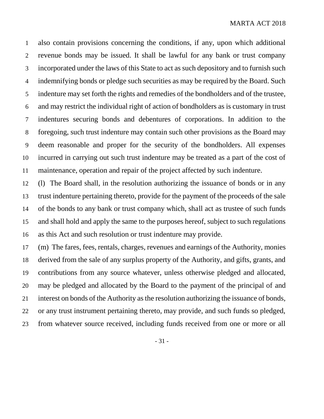also contain provisions concerning the conditions, if any, upon which additional revenue bonds may be issued. It shall be lawful for any bank or trust company incorporated under the laws of this State to act as such depository and to furnish such indemnifying bonds or pledge such securities as may be required by the Board. Such indenture may set forth the rights and remedies of the bondholders and of the trustee, and may restrict the individual right of action of bondholders as is customary in trust indentures securing bonds and debentures of corporations. In addition to the foregoing, such trust indenture may contain such other provisions as the Board may deem reasonable and proper for the security of the bondholders. All expenses incurred in carrying out such trust indenture may be treated as a part of the cost of maintenance, operation and repair of the project affected by such indenture.

 (l) The Board shall, in the resolution authorizing the issuance of bonds or in any trust indenture pertaining thereto, provide for the payment of the proceeds of the sale of the bonds to any bank or trust company which, shall act as trustee of such funds and shall hold and apply the same to the purposes hereof, subject to such regulations as this Act and such resolution or trust indenture may provide.

 (m) The fares, fees, rentals, charges, revenues and earnings of the Authority, monies derived from the sale of any surplus property of the Authority, and gifts, grants, and contributions from any source whatever, unless otherwise pledged and allocated, may be pledged and allocated by the Board to the payment of the principal of and interest on bonds of the Authority as the resolution authorizing the issuance of bonds, or any trust instrument pertaining thereto, may provide, and such funds so pledged, from whatever source received, including funds received from one or more or all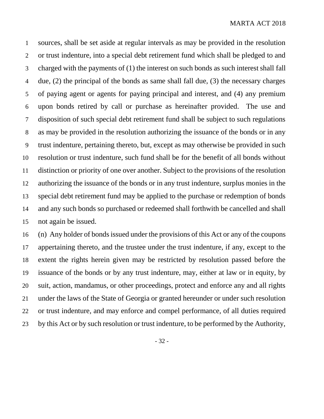sources, shall be set aside at regular intervals as may be provided in the resolution or trust indenture, into a special debt retirement fund which shall be pledged to and charged with the payments of (1) the interest on such bonds as such interest shall fall due, (2) the principal of the bonds as same shall fall due, (3) the necessary charges of paying agent or agents for paying principal and interest, and (4) any premium upon bonds retired by call or purchase as hereinafter provided. The use and disposition of such special debt retirement fund shall be subject to such regulations as may be provided in the resolution authorizing the issuance of the bonds or in any trust indenture, pertaining thereto, but, except as may otherwise be provided in such resolution or trust indenture, such fund shall be for the benefit of all bonds without distinction or priority of one over another. Subject to the provisions of the resolution authorizing the issuance of the bonds or in any trust indenture, surplus monies in the special debt retirement fund may be applied to the purchase or redemption of bonds and any such bonds so purchased or redeemed shall forthwith be cancelled and shall not again be issued.

 (n) Any holder of bonds issued under the provisions of this Act or any of the coupons 17 appertaining thereto, and the trustee under the trust indenture, if any, except to the extent the rights herein given may be restricted by resolution passed before the issuance of the bonds or by any trust indenture, may, either at law or in equity, by suit, action, mandamus, or other proceedings, protect and enforce any and all rights under the laws of the State of Georgia or granted hereunder or under such resolution or trust indenture, and may enforce and compel performance, of all duties required by this Act or by such resolution or trust indenture, to be performed by the Authority,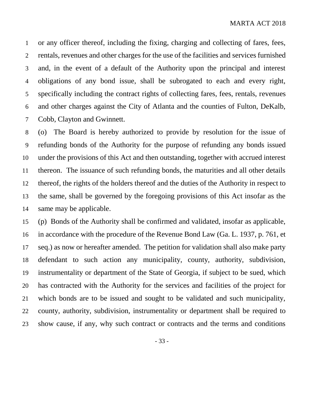or any officer thereof, including the fixing, charging and collecting of fares, fees, rentals, revenues and other charges for the use of the facilities and services furnished and, in the event of a default of the Authority upon the principal and interest obligations of any bond issue, shall be subrogated to each and every right, specifically including the contract rights of collecting fares, fees, rentals, revenues and other charges against the City of Atlanta and the counties of Fulton, DeKalb, Cobb, Clayton and Gwinnett.

 (o) The Board is hereby authorized to provide by resolution for the issue of refunding bonds of the Authority for the purpose of refunding any bonds issued under the provisions of this Act and then outstanding, together with accrued interest thereon. The issuance of such refunding bonds, the maturities and all other details thereof, the rights of the holders thereof and the duties of the Authority in respect to the same, shall be governed by the foregoing provisions of this Act insofar as the same may be applicable.

 (p) Bonds of the Authority shall be confirmed and validated, insofar as applicable, in accordance with the procedure of the Revenue Bond Law (Ga. L. 1937, p. 761, et seq.) as now or hereafter amended. The petition for validation shall also make party defendant to such action any municipality, county, authority, subdivision, instrumentality or department of the State of Georgia, if subject to be sued, which has contracted with the Authority for the services and facilities of the project for which bonds are to be issued and sought to be validated and such municipality, county, authority, subdivision, instrumentality or department shall be required to show cause, if any, why such contract or contracts and the terms and conditions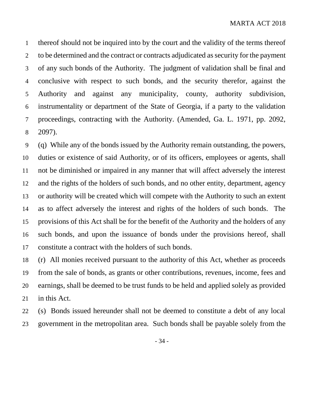thereof should not be inquired into by the court and the validity of the terms thereof 2 to be determined and the contract or contracts adjudicated as security for the payment of any such bonds of the Authority. The judgment of validation shall be final and conclusive with respect to such bonds, and the security therefor, against the Authority and against any municipality, county, authority subdivision, instrumentality or department of the State of Georgia, if a party to the validation proceedings, contracting with the Authority. (Amended, Ga. L. 1971, pp. 2092, 2097).

 (q) While any of the bonds issued by the Authority remain outstanding, the powers, duties or existence of said Authority, or of its officers, employees or agents, shall not be diminished or impaired in any manner that will affect adversely the interest and the rights of the holders of such bonds, and no other entity, department, agency or authority will be created which will compete with the Authority to such an extent as to affect adversely the interest and rights of the holders of such bonds. The provisions of this Act shall be for the benefit of the Authority and the holders of any such bonds, and upon the issuance of bonds under the provisions hereof, shall constitute a contract with the holders of such bonds.

 (r) All monies received pursuant to the authority of this Act, whether as proceeds from the sale of bonds, as grants or other contributions, revenues, income, fees and earnings, shall be deemed to be trust funds to be held and applied solely as provided in this Act.

 (s) Bonds issued hereunder shall not be deemed to constitute a debt of any local government in the metropolitan area. Such bonds shall be payable solely from the

- 34 -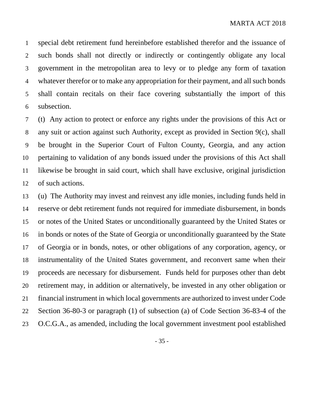special debt retirement fund hereinbefore established therefor and the issuance of such bonds shall not directly or indirectly or contingently obligate any local government in the metropolitan area to levy or to pledge any form of taxation whatever therefor or to make any appropriation for their payment, and all such bonds shall contain recitals on their face covering substantially the import of this subsection.

 (t) Any action to protect or enforce any rights under the provisions of this Act or any suit or action against such Authority, except as provided in Section 9(c), shall be brought in the Superior Court of Fulton County, Georgia, and any action pertaining to validation of any bonds issued under the provisions of this Act shall likewise be brought in said court, which shall have exclusive, original jurisdiction of such actions.

 (u) The Authority may invest and reinvest any idle monies, including funds held in reserve or debt retirement funds not required for immediate disbursement, in bonds or notes of the United States or unconditionally guaranteed by the United States or in bonds or notes of the State of Georgia or unconditionally guaranteed by the State of Georgia or in bonds, notes, or other obligations of any corporation, agency, or instrumentality of the United States government, and reconvert same when their proceeds are necessary for disbursement. Funds held for purposes other than debt retirement may, in addition or alternatively, be invested in any other obligation or financial instrument in which local governments are authorized to invest under Code Section 36-80-3 or paragraph (1) of subsection (a) of Code Section 36-83-4 of the O.C.G.A., as amended, including the local government investment pool established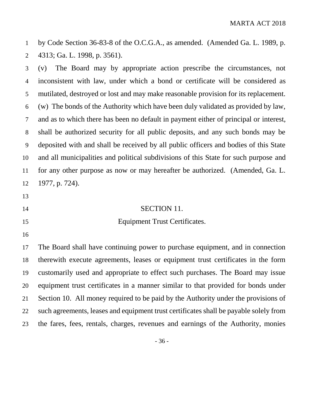by Code Section 36-83-8 of the O.C.G.A., as amended. (Amended Ga. L. 1989, p. 4313; Ga. L. 1998, p. 3561).

 (v) The Board may by appropriate action prescribe the circumstances, not inconsistent with law, under which a bond or certificate will be considered as mutilated, destroyed or lost and may make reasonable provision for its replacement. (w) The bonds of the Authority which have been duly validated as provided by law, and as to which there has been no default in payment either of principal or interest, shall be authorized security for all public deposits, and any such bonds may be deposited with and shall be received by all public officers and bodies of this State and all municipalities and political subdivisions of this State for such purpose and for any other purpose as now or may hereafter be authorized. (Amended, Ga. L. 1977, p. 724).

- 
- 

#### SECTION 11.

#### Equipment Trust Certificates.

 The Board shall have continuing power to purchase equipment, and in connection therewith execute agreements, leases or equipment trust certificates in the form customarily used and appropriate to effect such purchases. The Board may issue equipment trust certificates in a manner similar to that provided for bonds under Section 10. All money required to be paid by the Authority under the provisions of such agreements, leases and equipment trust certificates shall be payable solely from the fares, fees, rentals, charges, revenues and earnings of the Authority, monies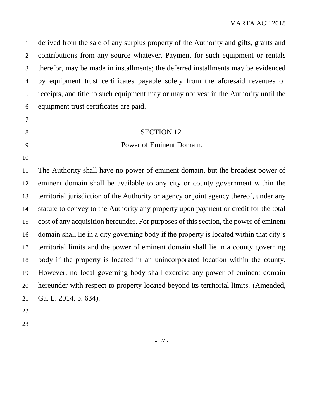derived from the sale of any surplus property of the Authority and gifts, grants and contributions from any source whatever. Payment for such equipment or rentals therefor, may be made in installments; the deferred installments may be evidenced by equipment trust certificates payable solely from the aforesaid revenues or receipts, and title to such equipment may or may not vest in the Authority until the equipment trust certificates are paid.

#### 8 SECTION 12.

#### Power of Eminent Domain.

 The Authority shall have no power of eminent domain, but the broadest power of eminent domain shall be available to any city or county government within the territorial jurisdiction of the Authority or agency or joint agency thereof, under any statute to convey to the Authority any property upon payment or credit for the total cost of any acquisition hereunder. For purposes of this section, the power of eminent domain shall lie in a city governing body if the property is located within that city's territorial limits and the power of eminent domain shall lie in a county governing body if the property is located in an unincorporated location within the county. However, no local governing body shall exercise any power of eminent domain hereunder with respect to property located beyond its territorial limits. (Amended, Ga. L. 2014, p. 634).

- 
-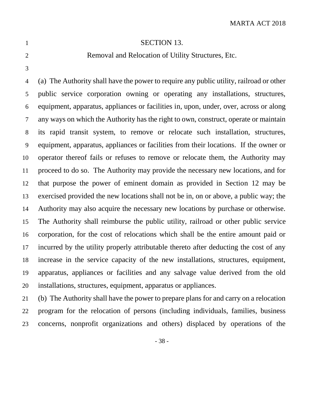# 

#### **SECTION 13.**

#### Removal and Relocation of Utility Structures, Etc.

 (a) The Authority shall have the power to require any public utility, railroad or other public service corporation owning or operating any installations, structures, equipment, apparatus, appliances or facilities in, upon, under, over, across or along any ways on which the Authority has the right to own, construct, operate or maintain its rapid transit system, to remove or relocate such installation, structures, equipment, apparatus, appliances or facilities from their locations. If the owner or operator thereof fails or refuses to remove or relocate them, the Authority may proceed to do so. The Authority may provide the necessary new locations, and for that purpose the power of eminent domain as provided in Section 12 may be exercised provided the new locations shall not be in, on or above, a public way; the Authority may also acquire the necessary new locations by purchase or otherwise. The Authority shall reimburse the public utility, railroad or other public service corporation, for the cost of relocations which shall be the entire amount paid or incurred by the utility properly attributable thereto after deducting the cost of any increase in the service capacity of the new installations, structures, equipment, apparatus, appliances or facilities and any salvage value derived from the old installations, structures, equipment, apparatus or appliances.

 (b) The Authority shall have the power to prepare plans for and carry on a relocation program for the relocation of persons (including individuals, families, business concerns, nonprofit organizations and others) displaced by operations of the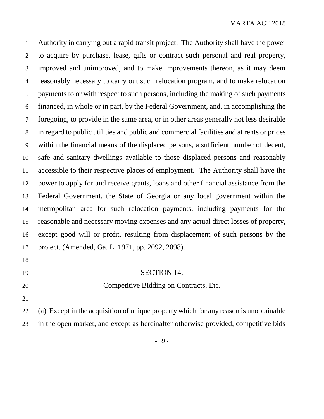Authority in carrying out a rapid transit project. The Authority shall have the power to acquire by purchase, lease, gifts or contract such personal and real property, improved and unimproved, and to make improvements thereon, as it may deem reasonably necessary to carry out such relocation program, and to make relocation payments to or with respect to such persons, including the making of such payments financed, in whole or in part, by the Federal Government, and, in accomplishing the foregoing, to provide in the same area, or in other areas generally not less desirable in regard to public utilities and public and commercial facilities and at rents or prices within the financial means of the displaced persons, a sufficient number of decent, safe and sanitary dwellings available to those displaced persons and reasonably accessible to their respective places of employment. The Authority shall have the power to apply for and receive grants, loans and other financial assistance from the Federal Government, the State of Georgia or any local government within the metropolitan area for such relocation payments, including payments for the reasonable and necessary moving expenses and any actual direct losses of property, except good will or profit, resulting from displacement of such persons by the project. (Amended, Ga. L. 1971, pp. 2092, 2098).

- 
- 

**SECTION 14.** 

- Competitive Bidding on Contracts, Etc.
- 

 (a) Except in the acquisition of unique property which for any reason is unobtainable in the open market, and except as hereinafter otherwise provided, competitive bids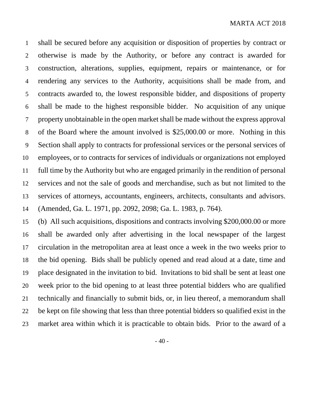shall be secured before any acquisition or disposition of properties by contract or otherwise is made by the Authority, or before any contract is awarded for construction, alterations, supplies, equipment, repairs or maintenance, or for rendering any services to the Authority, acquisitions shall be made from, and contracts awarded to, the lowest responsible bidder, and dispositions of property shall be made to the highest responsible bidder. No acquisition of any unique property unobtainable in the open market shall be made without the express approval of the Board where the amount involved is \$25,000.00 or more. Nothing in this Section shall apply to contracts for professional services or the personal services of employees, or to contracts for services of individuals or organizations not employed full time by the Authority but who are engaged primarily in the rendition of personal services and not the sale of goods and merchandise, such as but not limited to the services of attorneys, accountants, engineers, architects, consultants and advisors. (Amended, Ga. L. 1971, pp. 2092, 2098; Ga. L. 1983, p. 764).

 (b) All such acquisitions, dispositions and contracts involving \$200,000.00 or more shall be awarded only after advertising in the local newspaper of the largest circulation in the metropolitan area at least once a week in the two weeks prior to the bid opening. Bids shall be publicly opened and read aloud at a date, time and place designated in the invitation to bid. Invitations to bid shall be sent at least one week prior to the bid opening to at least three potential bidders who are qualified technically and financially to submit bids, or, in lieu thereof, a memorandum shall be kept on file showing that less than three potential bidders so qualified exist in the market area within which it is practicable to obtain bids. Prior to the award of a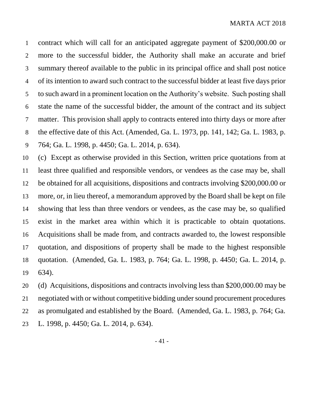contract which will call for an anticipated aggregate payment of \$200,000.00 or more to the successful bidder, the Authority shall make an accurate and brief summary thereof available to the public in its principal office and shall post notice of its intention to award such contract to the successful bidder at least five days prior to such award in a prominent location on the Authority's website. Such posting shall state the name of the successful bidder, the amount of the contract and its subject matter. This provision shall apply to contracts entered into thirty days or more after the effective date of this Act. (Amended, Ga. L. 1973, pp. 141, 142; Ga. L. 1983, p. 764; Ga. L. 1998, p. 4450; Ga. L. 2014, p. 634).

 (c) Except as otherwise provided in this Section, written price quotations from at least three qualified and responsible vendors, or vendees as the case may be, shall be obtained for all acquisitions, dispositions and contracts involving \$200,000.00 or more, or, in lieu thereof, a memorandum approved by the Board shall be kept on file showing that less than three vendors or vendees, as the case may be, so qualified exist in the market area within which it is practicable to obtain quotations. Acquisitions shall be made from, and contracts awarded to, the lowest responsible quotation, and dispositions of property shall be made to the highest responsible quotation. (Amended, Ga. L. 1983, p. 764; Ga. L. 1998, p. 4450; Ga. L. 2014, p. 634).

 (d) Acquisitions, dispositions and contracts involving less than \$200,000.00 may be negotiated with or without competitive bidding under sound procurement procedures as promulgated and established by the Board. (Amended, Ga. L. 1983, p. 764; Ga. L. 1998, p. 4450; Ga. L. 2014, p. 634).

- 41 -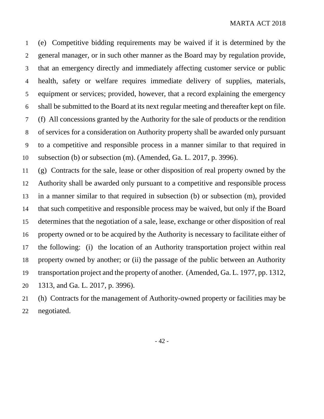(e) Competitive bidding requirements may be waived if it is determined by the general manager, or in such other manner as the Board may by regulation provide, that an emergency directly and immediately affecting customer service or public health, safety or welfare requires immediate delivery of supplies, materials, equipment or services; provided, however, that a record explaining the emergency shall be submitted to the Board at its next regular meeting and thereafter kept on file. (f) All concessions granted by the Authority for the sale of products or the rendition of services for a consideration on Authority property shall be awarded only pursuant to a competitive and responsible process in a manner similar to that required in subsection (b) or subsection (m). (Amended, Ga. L. 2017, p. 3996).

 (g) Contracts for the sale, lease or other disposition of real property owned by the Authority shall be awarded only pursuant to a competitive and responsible process in a manner similar to that required in subsection (b) or subsection (m), provided that such competitive and responsible process may be waived, but only if the Board determines that the negotiation of a sale, lease, exchange or other disposition of real property owned or to be acquired by the Authority is necessary to facilitate either of the following: (i) the location of an Authority transportation project within real property owned by another; or (ii) the passage of the public between an Authority transportation project and the property of another. (Amended, Ga. L. 1977, pp. 1312, 1313, and Ga. L. 2017, p. 3996).

 (h) Contracts for the management of Authority-owned property or facilities may be negotiated.

- 42 -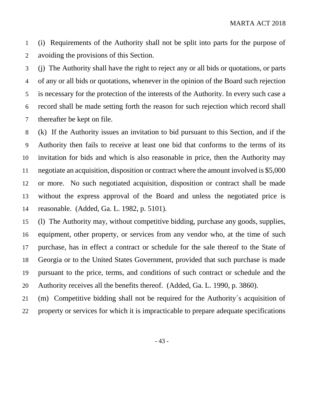(i) Requirements of the Authority shall not be split into parts for the purpose of avoiding the provisions of this Section.

 (j) The Authority shall have the right to reject any or all bids or quotations, or parts of any or all bids or quotations, whenever in the opinion of the Board such rejection is necessary for the protection of the interests of the Authority. In every such case a record shall be made setting forth the reason for such rejection which record shall thereafter be kept on file.

 (k) If the Authority issues an invitation to bid pursuant to this Section, and if the Authority then fails to receive at least one bid that conforms to the terms of its invitation for bids and which is also reasonable in price, then the Authority may negotiate an acquisition, disposition or contract where the amount involved is \$5,000 or more. No such negotiated acquisition, disposition or contract shall be made without the express approval of the Board and unless the negotiated price is reasonable. (Added, Ga. L. 1982, p. 5101).

 (l) The Authority may, without competitive bidding, purchase any goods, supplies, equipment, other property, or services from any vendor who, at the time of such purchase, has in effect a contract or schedule for the sale thereof to the State of Georgia or to the United States Government, provided that such purchase is made pursuant to the price, terms, and conditions of such contract or schedule and the Authority receives all the benefits thereof. (Added, Ga. L. 1990, p. 3860).

 (m) Competitive bidding shall not be required for the Authority´s acquisition of property or services for which it is impracticable to prepare adequate specifications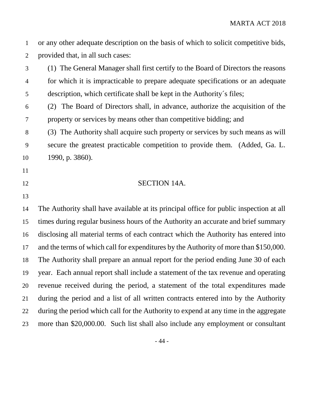or any other adequate description on the basis of which to solicit competitive bids, provided that, in all such cases:

 (1) The General Manager shall first certify to the Board of Directors the reasons for which it is impracticable to prepare adequate specifications or an adequate description, which certificate shall be kept in the Authority´s files;

 (2) The Board of Directors shall, in advance, authorize the acquisition of the property or services by means other than competitive bidding; and

 (3) The Authority shall acquire such property or services by such means as will secure the greatest practicable competition to provide them. (Added, Ga. L. 1990, p. 3860).

- 
- 
- 12 SECTION 14A.
- 

 The Authority shall have available at its principal office for public inspection at all times during regular business hours of the Authority an accurate and brief summary disclosing all material terms of each contract which the Authority has entered into 17 and the terms of which call for expenditures by the Authority of more than \$150,000. The Authority shall prepare an annual report for the period ending June 30 of each year. Each annual report shall include a statement of the tax revenue and operating revenue received during the period, a statement of the total expenditures made during the period and a list of all written contracts entered into by the Authority during the period which call for the Authority to expend at any time in the aggregate more than \$20,000.00. Such list shall also include any employment or consultant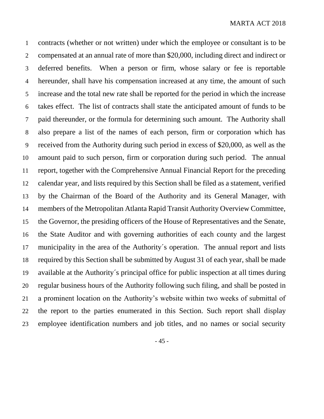contracts (whether or not written) under which the employee or consultant is to be compensated at an annual rate of more than \$20,000, including direct and indirect or deferred benefits. When a person or firm, whose salary or fee is reportable hereunder, shall have his compensation increased at any time, the amount of such increase and the total new rate shall be reported for the period in which the increase takes effect. The list of contracts shall state the anticipated amount of funds to be paid thereunder, or the formula for determining such amount. The Authority shall also prepare a list of the names of each person, firm or corporation which has received from the Authority during such period in excess of \$20,000, as well as the amount paid to such person, firm or corporation during such period. The annual report, together with the Comprehensive Annual Financial Report for the preceding calendar year, and lists required by this Section shall be filed as a statement, verified by the Chairman of the Board of the Authority and its General Manager, with members of the Metropolitan Atlanta Rapid Transit Authority Overview Committee, the Governor, the presiding officers of the House of Representatives and the Senate, the State Auditor and with governing authorities of each county and the largest municipality in the area of the Authority´s operation. The annual report and lists required by this Section shall be submitted by August 31 of each year, shall be made available at the Authority´s principal office for public inspection at all times during regular business hours of the Authority following such filing, and shall be posted in a prominent location on the Authority's website within two weeks of submittal of the report to the parties enumerated in this Section. Such report shall display employee identification numbers and job titles, and no names or social security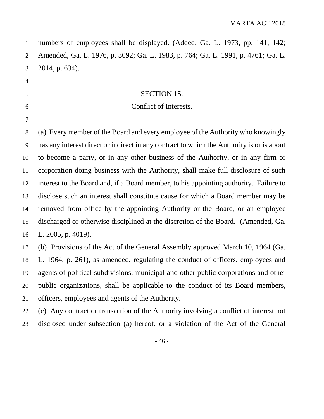| $\mathbf{1}$   | numbers of employees shall be displayed. (Added, Ga. L. 1973, pp. 141, 142;               |
|----------------|-------------------------------------------------------------------------------------------|
| $\overline{2}$ | Amended, Ga. L. 1976, p. 3092; Ga. L. 1983, p. 764; Ga. L. 1991, p. 4761; Ga. L.          |
| 3              | 2014, p. 634).                                                                            |
| $\overline{4}$ |                                                                                           |
| 5              | <b>SECTION 15.</b>                                                                        |
| 6              | Conflict of Interests.                                                                    |
| 7              |                                                                                           |
| $8\,$          | (a) Every member of the Board and every employee of the Authority who knowingly           |
| 9              | has any interest direct or indirect in any contract to which the Authority is or is about |
| 10             | to become a party, or in any other business of the Authority, or in any firm or           |
| 11             | corporation doing business with the Authority, shall make full disclosure of such         |
| 12             | interest to the Board and, if a Board member, to his appointing authority. Failure to     |
| 13             | disclose such an interest shall constitute cause for which a Board member may be          |
| 14             | removed from office by the appointing Authority or the Board, or an employee              |
| 15             | discharged or otherwise disciplined at the discretion of the Board. (Amended, Ga.         |
| 16             | L. 2005, p. 4019).                                                                        |
| 17             | (b) Provisions of the Act of the General Assembly approved March 10, 1964 (Ga.            |
| 18             | L. 1964, p. 261), as amended, regulating the conduct of officers, employees and           |
| 19             | agents of political subdivisions, municipal and other public corporations and other       |
| 20             | public organizations, shall be applicable to the conduct of its Board members,            |
| 21             | officers, employees and agents of the Authority.                                          |
| 22             | (c) Any contract or transaction of the Authority involving a conflict of interest not     |
| 23             | disclosed under subsection (a) hereof, or a violation of the Act of the General           |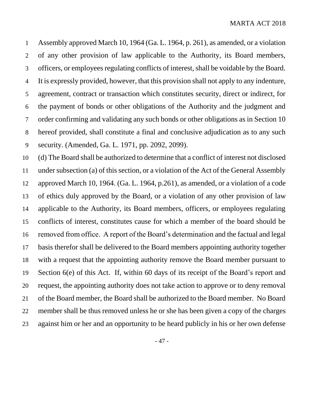Assembly approved March 10, 1964 (Ga. L. 1964, p. 261), as amended, or a violation of any other provision of law applicable to the Authority, its Board members, officers, or employees regulating conflicts of interest, shall be voidable by the Board. It is expressly provided, however, that this provision shall not apply to any indenture, agreement, contract or transaction which constitutes security, direct or indirect, for the payment of bonds or other obligations of the Authority and the judgment and order confirming and validating any such bonds or other obligations as in Section 10 hereof provided, shall constitute a final and conclusive adjudication as to any such security. (Amended, Ga. L. 1971, pp. 2092, 2099).

 (d) The Board shall be authorized to determine that a conflict of interest not disclosed under subsection (a) of this section, or a violation of the Act of the General Assembly approved March 10, 1964. (Ga. L. 1964, p.261), as amended, or a violation of a code of ethics duly approved by the Board, or a violation of any other provision of law applicable to the Authority, its Board members, officers, or employees regulating conflicts of interest, constitutes cause for which a member of the board should be removed from office. A report of the Board's determination and the factual and legal basis therefor shall be delivered to the Board members appointing authority together with a request that the appointing authority remove the Board member pursuant to Section 6(e) of this Act. If, within 60 days of its receipt of the Board's report and request, the appointing authority does not take action to approve or to deny removal of the Board member, the Board shall be authorized to the Board member. No Board member shall be thus removed unless he or she has been given a copy of the charges against him or her and an opportunity to be heard publicly in his or her own defense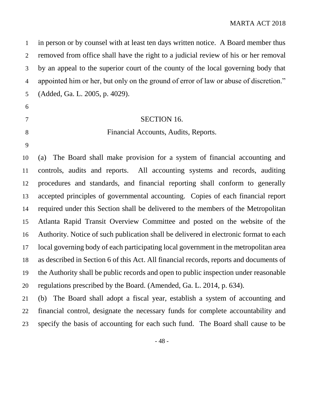in person or by counsel with at least ten days written notice. A Board member thus removed from office shall have the right to a judicial review of his or her removal by an appeal to the superior court of the county of the local governing body that appointed him or her, but only on the ground of error of law or abuse of discretion." (Added, Ga. L. 2005, p. 4029).

#### SECTION 16.

## Financial Accounts, Audits, Reports.

### 

 (a) The Board shall make provision for a system of financial accounting and controls, audits and reports. All accounting systems and records, auditing procedures and standards, and financial reporting shall conform to generally accepted principles of governmental accounting. Copies of each financial report required under this Section shall be delivered to the members of the Metropolitan Atlanta Rapid Transit Overview Committee and posted on the website of the Authority. Notice of such publication shall be delivered in electronic format to each local governing body of each participating local government in the metropolitan area as described in Section 6 of this Act. All financial records, reports and documents of the Authority shall be public records and open to public inspection under reasonable regulations prescribed by the Board. (Amended, Ga. L. 2014, p. 634).

 (b) The Board shall adopt a fiscal year, establish a system of accounting and financial control, designate the necessary funds for complete accountability and specify the basis of accounting for each such fund. The Board shall cause to be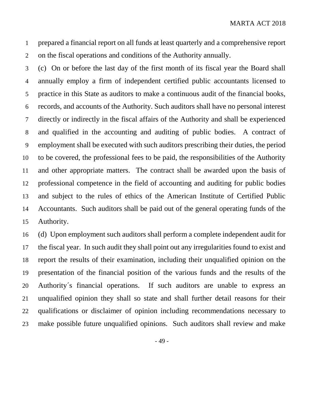prepared a financial report on all funds at least quarterly and a comprehensive report on the fiscal operations and conditions of the Authority annually.

 (c) On or before the last day of the first month of its fiscal year the Board shall annually employ a firm of independent certified public accountants licensed to practice in this State as auditors to make a continuous audit of the financial books, records, and accounts of the Authority. Such auditors shall have no personal interest directly or indirectly in the fiscal affairs of the Authority and shall be experienced and qualified in the accounting and auditing of public bodies. A contract of employment shall be executed with such auditors prescribing their duties, the period to be covered, the professional fees to be paid, the responsibilities of the Authority and other appropriate matters. The contract shall be awarded upon the basis of professional competence in the field of accounting and auditing for public bodies and subject to the rules of ethics of the American Institute of Certified Public Accountants. Such auditors shall be paid out of the general operating funds of the Authority.

 (d) Upon employment such auditors shall perform a complete independent audit for the fiscal year. In such audit they shall point out any irregularities found to exist and report the results of their examination, including their unqualified opinion on the presentation of the financial position of the various funds and the results of the Authority´s financial operations. If such auditors are unable to express an unqualified opinion they shall so state and shall further detail reasons for their qualifications or disclaimer of opinion including recommendations necessary to make possible future unqualified opinions. Such auditors shall review and make

- 49 -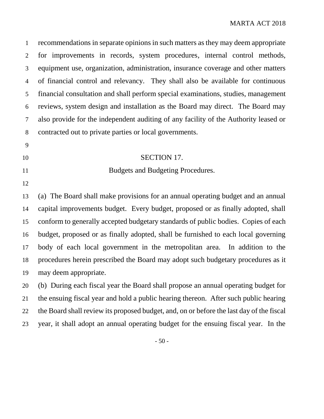| $\mathbf{1}$   | recommendations in separate opinions in such matters as they may deem appropriate        |
|----------------|------------------------------------------------------------------------------------------|
| $\overline{2}$ | for improvements in records, system procedures, internal control methods,                |
| 3              | equipment use, organization, administration, insurance coverage and other matters        |
| $\overline{4}$ | of financial control and relevancy. They shall also be available for continuous          |
| 5              | financial consultation and shall perform special examinations, studies, management       |
| 6              | reviews, system design and installation as the Board may direct. The Board may           |
| $\tau$         | also provide for the independent auditing of any facility of the Authority leased or     |
| $8\,$          | contracted out to private parties or local governments.                                  |
| 9              |                                                                                          |
| 10             | <b>SECTION 17.</b>                                                                       |
| 11             | Budgets and Budgeting Procedures.                                                        |
| 12             |                                                                                          |
| 13             | (a) The Board shall make provisions for an annual operating budget and an annual         |
| 14             | capital improvements budget. Every budget, proposed or as finally adopted, shall         |
| 15             | conform to generally accepted budgetary standards of public bodies. Copies of each       |
| 16             | budget, proposed or as finally adopted, shall be furnished to each local governing       |
| 17             | body of each local government in the metropolitan area. In addition to the               |
| 18             | procedures herein prescribed the Board may adopt such budgetary procedures as it         |
| 19             | may deem appropriate.                                                                    |
| 20             | (b) During each fiscal year the Board shall propose an annual operating budget for       |
| 21             | the ensuing fiscal year and hold a public hearing thereon. After such public hearing     |
| 22             | the Board shall review its proposed budget, and, on or before the last day of the fiscal |
| 23             | year, it shall adopt an annual operating budget for the ensuing fiscal year. In the      |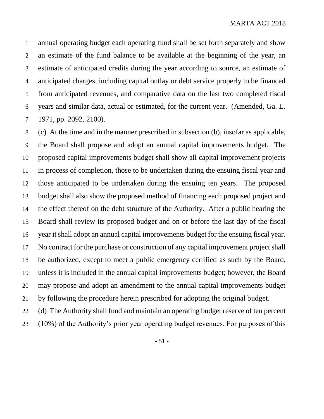annual operating budget each operating fund shall be set forth separately and show an estimate of the fund balance to be available at the beginning of the year, an estimate of anticipated credits during the year according to source, an estimate of anticipated charges, including capital outlay or debt service properly to be financed from anticipated revenues, and comparative data on the last two completed fiscal years and similar data, actual or estimated, for the current year. (Amended, Ga. L. 1971, pp. 2092, 2100).

 (c) At the time and in the manner prescribed in subsection (b), insofar as applicable, the Board shall propose and adopt an annual capital improvements budget. The proposed capital improvements budget shall show all capital improvement projects in process of completion, those to be undertaken during the ensuing fiscal year and those anticipated to be undertaken during the ensuing ten years. The proposed budget shall also show the proposed method of financing each proposed project and the effect thereof on the debt structure of the Authority. After a public hearing the Board shall review its proposed budget and on or before the last day of the fiscal year it shall adopt an annual capital improvements budget for the ensuing fiscal year. No contract for the purchase or construction of any capital improvement project shall be authorized, except to meet a public emergency certified as such by the Board, unless it is included in the annual capital improvements budget; however, the Board may propose and adopt an amendment to the annual capital improvements budget by following the procedure herein prescribed for adopting the original budget.

 (d) The Authority shall fund and maintain an operating budget reserve of ten percent (10%) of the Authority's prior year operating budget revenues. For purposes of this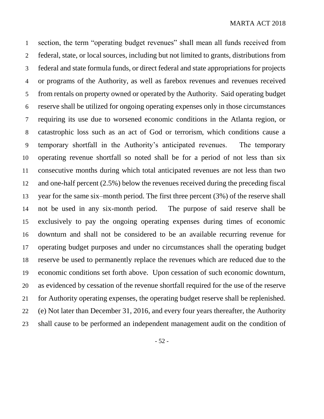section, the term "operating budget revenues" shall mean all funds received from federal, state, or local sources, including but not limited to grants, distributions from federal and state formula funds, or direct federal and state appropriations for projects or programs of the Authority, as well as farebox revenues and revenues received from rentals on property owned or operated by the Authority. Said operating budget reserve shall be utilized for ongoing operating expenses only in those circumstances requiring its use due to worsened economic conditions in the Atlanta region, or catastrophic loss such as an act of God or terrorism, which conditions cause a temporary shortfall in the Authority's anticipated revenues. The temporary operating revenue shortfall so noted shall be for a period of not less than six consecutive months during which total anticipated revenues are not less than two and one-half percent (2.5%) below the revenues received during the preceding fiscal year for the same six–month period. The first three percent (3%) of the reserve shall not be used in any six-month period. The purpose of said reserve shall be exclusively to pay the ongoing operating expenses during times of economic downturn and shall not be considered to be an available recurring revenue for operating budget purposes and under no circumstances shall the operating budget reserve be used to permanently replace the revenues which are reduced due to the economic conditions set forth above. Upon cessation of such economic downturn, as evidenced by cessation of the revenue shortfall required for the use of the reserve for Authority operating expenses, the operating budget reserve shall be replenished. (e) Not later than December 31, 2016, and every four years thereafter, the Authority shall cause to be performed an independent management audit on the condition of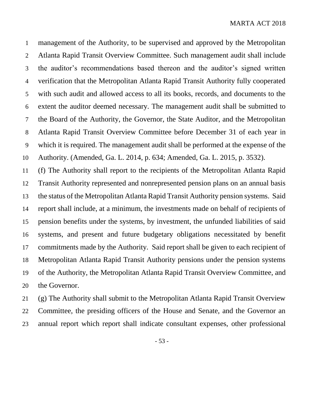management of the Authority, to be supervised and approved by the Metropolitan Atlanta Rapid Transit Overview Committee. Such management audit shall include the auditor's recommendations based thereon and the auditor's signed written verification that the Metropolitan Atlanta Rapid Transit Authority fully cooperated with such audit and allowed access to all its books, records, and documents to the extent the auditor deemed necessary. The management audit shall be submitted to the Board of the Authority, the Governor, the State Auditor, and the Metropolitan Atlanta Rapid Transit Overview Committee before December 31 of each year in which it is required. The management audit shall be performed at the expense of the Authority. (Amended, Ga. L. 2014, p. 634; Amended, Ga. L. 2015, p. 3532).

 (f) The Authority shall report to the recipients of the Metropolitan Atlanta Rapid Transit Authority represented and nonrepresented pension plans on an annual basis the status of the Metropolitan Atlanta Rapid Transit Authority pension systems. Said report shall include, at a minimum, the investments made on behalf of recipients of pension benefits under the systems, by investment, the unfunded liabilities of said systems, and present and future budgetary obligations necessitated by benefit commitments made by the Authority. Said report shall be given to each recipient of Metropolitan Atlanta Rapid Transit Authority pensions under the pension systems of the Authority, the Metropolitan Atlanta Rapid Transit Overview Committee, and the Governor.

 (g) The Authority shall submit to the Metropolitan Atlanta Rapid Transit Overview Committee, the presiding officers of the House and Senate, and the Governor an annual report which report shall indicate consultant expenses, other professional

- 53 -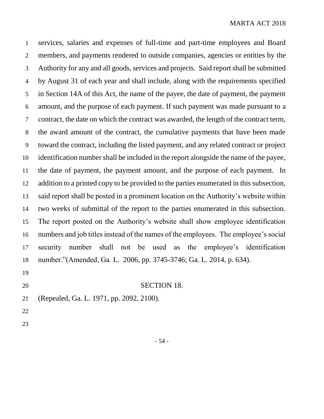services, salaries and expenses of full-time and part-time employees and Board members, and payments rendered to outside companies, agencies or entities by the Authority for any and all goods, services and projects. Said report shall be submitted by August 31 of each year and shall include, along with the requirements specified in Section 14A of this Act, the name of the payee, the date of payment, the payment amount, and the purpose of each payment. If such payment was made pursuant to a contract, the date on which the contract was awarded, the length of the contract term, the award amount of the contract, the cumulative payments that have been made toward the contract, including the listed payment, and any related contract or project identification number shall be included in the report alongside the name of the payee, the date of payment, the payment amount, and the purpose of each payment. In addition to a printed copy to be provided to the parties enumerated in this subsection, said report shall be posted in a prominent location on the Authority's website within two weeks of submittal of the report to the parties enumerated in this subsection. The report posted on the Authority's website shall show employee identification numbers and job titles instead of the names of the employees. The employee's social security number shall not be used as the employee's identification number."(Amended, Ga. L. 2006, pp. 3745-3746; Ga. L. 2014, p. 634). 

#### SECTION 18.

- (Repealed, Ga. L. 1971, pp. 2092, 2100).
- 
-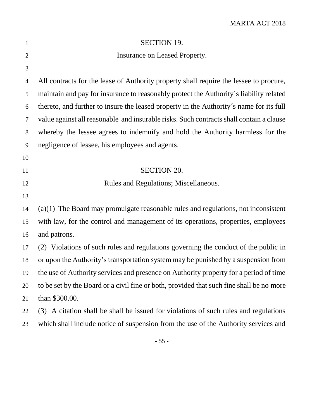| 1              | <b>SECTION 19.</b>                                                                       |
|----------------|------------------------------------------------------------------------------------------|
| $\overline{2}$ | Insurance on Leased Property.                                                            |
| 3              |                                                                                          |
| $\overline{4}$ | All contracts for the lease of Authority property shall require the lessee to procure,   |
| 5              | maintain and pay for insurance to reasonably protect the Authority's liability related   |
| 6              | thereto, and further to insure the leased property in the Authority's name for its full  |
| $\tau$         | value against all reasonable and insurable risks. Such contracts shall contain a clause  |
| 8              | whereby the lessee agrees to indemnify and hold the Authority harmless for the           |
| 9              | negligence of lessee, his employees and agents.                                          |
| 10             |                                                                                          |
| 11             | <b>SECTION 20.</b>                                                                       |
| 12             | Rules and Regulations; Miscellaneous.                                                    |
| 13             |                                                                                          |
| 14             | $(a)(1)$ The Board may promulgate reasonable rules and regulations, not inconsistent     |
| 15             | with law, for the control and management of its operations, properties, employees        |
| 16             | and patrons.                                                                             |
| 17             | (2) Violations of such rules and regulations governing the conduct of the public in      |
| 18             | or upon the Authority's transportation system may be punished by a suspension from       |
| 19             | the use of Authority services and presence on Authority property for a period of time    |
| 20             | to be set by the Board or a civil fine or both, provided that such fine shall be no more |
| 21             | than \$300.00.                                                                           |
| 22             | (3) A citation shall be shall be issued for violations of such rules and regulations     |
| 23             | which shall include notice of suspension from the use of the Authority services and      |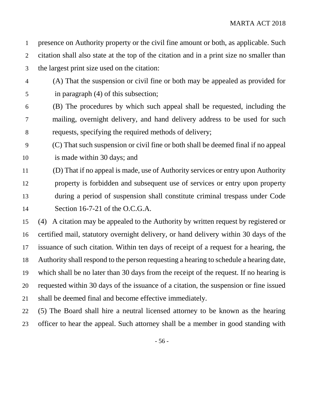presence on Authority property or the civil fine amount or both, as applicable. Such citation shall also state at the top of the citation and in a print size no smaller than the largest print size used on the citation:

- (A) That the suspension or civil fine or both may be appealed as provided for in paragraph (4) of this subsection;
- (B) The procedures by which such appeal shall be requested, including the mailing, overnight delivery, and hand delivery address to be used for such requests, specifying the required methods of delivery;
- (C) That such suspension or civil fine or both shall be deemed final if no appeal is made within 30 days; and
- (D) That if no appeal is made, use of Authority services or entry upon Authority property is forbidden and subsequent use of services or entry upon property during a period of suspension shall constitute criminal trespass under Code Section 16-7-21 of the O.C.G.A.
- (4) A citation may be appealed to the Authority by written request by registered or certified mail, statutory overnight delivery, or hand delivery within 30 days of the issuance of such citation. Within ten days of receipt of a request for a hearing, the Authority shall respond to the person requesting a hearing to schedule a hearing date, which shall be no later than 30 days from the receipt of the request. If no hearing is requested within 30 days of the issuance of a citation, the suspension or fine issued shall be deemed final and become effective immediately.
- (5) The Board shall hire a neutral licensed attorney to be known as the hearing officer to hear the appeal. Such attorney shall be a member in good standing with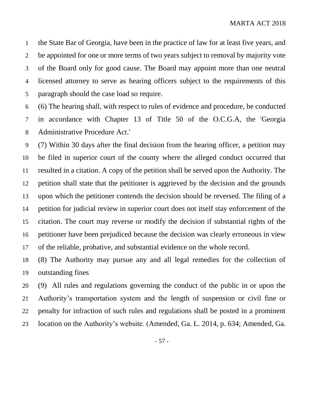the State Bar of Georgia, have been in the practice of law for at least five years, and be appointed for one or more terms of two years subject to removal by majority vote of the Board only for good cause. The Board may appoint more than one neutral licensed attorney to serve as hearing officers subject to the requirements of this paragraph should the case load so require.

 (6) The hearing shall, with respect to rules of evidence and procedure, be conducted in accordance with Chapter 13 of Title 50 of the O.C.G.A, the 'Georgia Administrative Procedure Act.'

 (7) Within 30 days after the final decision from the hearing officer, a petition may be filed in superior court of the county where the alleged conduct occurred that resulted in a citation. A copy of the petition shall be served upon the Authority. The petition shall state that the petitioner is aggrieved by the decision and the grounds upon which the petitioner contends the decision should be reversed. The filing of a petition for judicial review in superior court does not itself stay enforcement of the citation. The court may reverse or modify the decision if substantial rights of the petitioner have been prejudiced because the decision was clearly erroneous in view of the reliable, probative, and substantial evidence on the whole record.

 (8) The Authority may pursue any and all legal remedies for the collection of outstanding fines

 (9) All rules and regulations governing the conduct of the public in or upon the Authority's transportation system and the length of suspension or civil fine or penalty for infraction of such rules and regulations shall be posted in a prominent location on the Authority's website. (Amended, Ga. L. 2014, p. 634; Amended, Ga.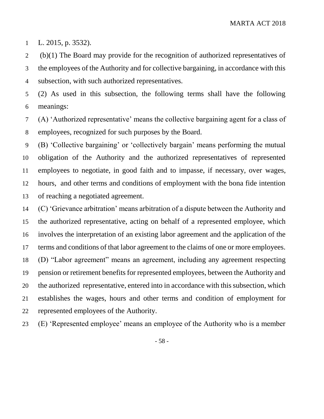L. 2015, p. 3532).

 (b)(1) The Board may provide for the recognition of authorized representatives of the employees of the Authority and for collective bargaining, in accordance with this subsection, with such authorized representatives.

 (2) As used in this subsection, the following terms shall have the following meanings:

 (A) 'Authorized representative' means the collective bargaining agent for a class of employees, recognized for such purposes by the Board.

 (B) 'Collective bargaining' or 'collectively bargain' means performing the mutual obligation of the Authority and the authorized representatives of represented employees to negotiate, in good faith and to impasse, if necessary, over wages, hours, and other terms and conditions of employment with the bona fide intention of reaching a negotiated agreement.

 (C) 'Grievance arbitration' means arbitration of a dispute between the Authority and the authorized representative, acting on behalf of a represented employee, which involves the interpretation of an existing labor agreement and the application of the terms and conditions of that labor agreement to the claims of one or more employees. (D) "Labor agreement" means an agreement, including any agreement respecting pension or retirement benefits for represented employees, between the Authority and the authorized representative, entered into in accordance with this subsection, which establishes the wages, hours and other terms and condition of employment for represented employees of the Authority.

(E) 'Represented employee' means an employee of the Authority who is a member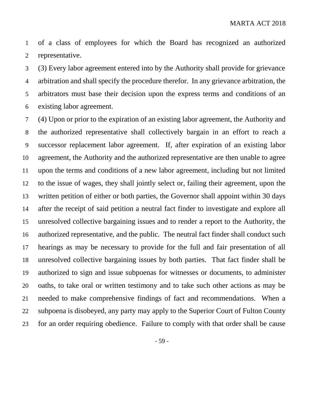of a class of employees for which the Board has recognized an authorized representative.

 (3) Every labor agreement entered into by the Authority shall provide for grievance arbitration and shall specify the procedure therefor. In any grievance arbitration, the arbitrators must base their decision upon the express terms and conditions of an existing labor agreement.

 (4) Upon or prior to the expiration of an existing labor agreement, the Authority and the authorized representative shall collectively bargain in an effort to reach a successor replacement labor agreement. If, after expiration of an existing labor agreement, the Authority and the authorized representative are then unable to agree upon the terms and conditions of a new labor agreement, including but not limited to the issue of wages, they shall jointly select or, failing their agreement, upon the written petition of either or both parties, the Governor shall appoint within 30 days after the receipt of said petition a neutral fact finder to investigate and explore all unresolved collective bargaining issues and to render a report to the Authority, the authorized representative, and the public. The neutral fact finder shall conduct such hearings as may be necessary to provide for the full and fair presentation of all unresolved collective bargaining issues by both parties. That fact finder shall be authorized to sign and issue subpoenas for witnesses or documents, to administer oaths, to take oral or written testimony and to take such other actions as may be needed to make comprehensive findings of fact and recommendations. When a subpoena is disobeyed, any party may apply to the Superior Court of Fulton County for an order requiring obedience. Failure to comply with that order shall be cause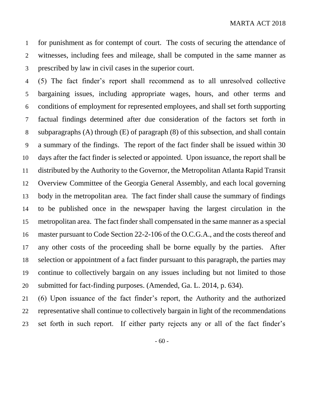for punishment as for contempt of court. The costs of securing the attendance of witnesses, including fees and mileage, shall be computed in the same manner as prescribed by law in civil cases in the superior court.

 (5) The fact finder's report shall recommend as to all unresolved collective bargaining issues, including appropriate wages, hours, and other terms and conditions of employment for represented employees, and shall set forth supporting factual findings determined after due consideration of the factors set forth in subparagraphs (A) through (E) of paragraph (8) of this subsection, and shall contain a summary of the findings. The report of the fact finder shall be issued within 30 days after the fact finder is selected or appointed. Upon issuance, the report shall be distributed by the Authority to the Governor, the Metropolitan Atlanta Rapid Transit Overview Committee of the Georgia General Assembly, and each local governing body in the metropolitan area. The fact finder shall cause the summary of findings to be published once in the newspaper having the largest circulation in the metropolitan area. The fact finder shall compensated in the same manner as a special master pursuant to Code Section 22-2-106 of the O.C.G.A., and the costs thereof and any other costs of the proceeding shall be borne equally by the parties. After selection or appointment of a fact finder pursuant to this paragraph, the parties may continue to collectively bargain on any issues including but not limited to those submitted for fact-finding purposes. (Amended, Ga. L. 2014, p. 634).

 (6) Upon issuance of the fact finder's report, the Authority and the authorized representative shall continue to collectively bargain in light of the recommendations set forth in such report. If either party rejects any or all of the fact finder's

- 60 -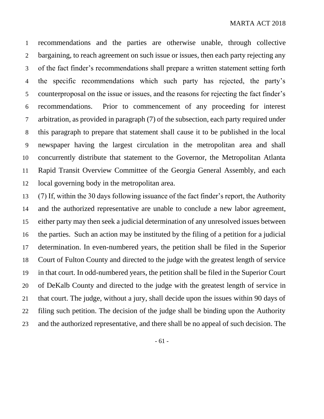recommendations and the parties are otherwise unable, through collective 2 bargaining, to reach agreement on such issue or issues, then each party rejecting any of the fact finder's recommendations shall prepare a written statement setting forth the specific recommendations which such party has rejected, the party's counterproposal on the issue or issues, and the reasons for rejecting the fact finder's recommendations. Prior to commencement of any proceeding for interest arbitration, as provided in paragraph (7) of the subsection, each party required under this paragraph to prepare that statement shall cause it to be published in the local newspaper having the largest circulation in the metropolitan area and shall concurrently distribute that statement to the Governor, the Metropolitan Atlanta Rapid Transit Overview Committee of the Georgia General Assembly, and each local governing body in the metropolitan area.

 (7) If, within the 30 days following issuance of the fact finder's report, the Authority and the authorized representative are unable to conclude a new labor agreement, either party may then seek a judicial determination of any unresolved issues between the parties. Such an action may be instituted by the filing of a petition for a judicial determination. In even-numbered years, the petition shall be filed in the Superior Court of Fulton County and directed to the judge with the greatest length of service in that court. In odd-numbered years, the petition shall be filed in the Superior Court of DeKalb County and directed to the judge with the greatest length of service in that court. The judge, without a jury, shall decide upon the issues within 90 days of filing such petition. The decision of the judge shall be binding upon the Authority and the authorized representative, and there shall be no appeal of such decision. The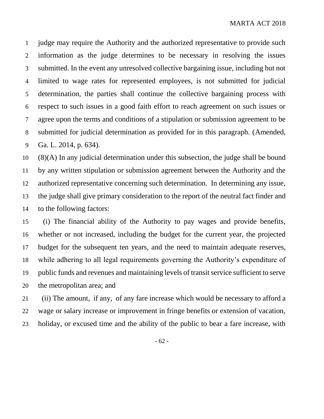judge may require the Authority and the authorized representative to provide such information as the judge determines to be necessary in resolving the issues submitted. In the event any unresolved collective bargaining issue, including but not limited to wage rates for represented employees, is not submitted for judicial determination, the parties shall continue the collective bargaining process with respect to such issues in a good faith effort to reach agreement on such issues or agree upon the terms and conditions of a stipulation or submission agreement to be submitted for judicial determination as provided for in this paragraph. (Amended, Ga. L. 2014, p. 634).

 (8)(A) In any judicial determination under this subsection, the judge shall be bound by any written stipulation or submission agreement between the Authority and the authorized representative concerning such determination. In determining any issue, the judge shall give primary consideration to the report of the neutral fact finder and to the following factors:

 (i) The financial ability of the Authority to pay wages and provide benefits, whether or not increased, including the budget for the current year, the projected budget for the subsequent ten years, and the need to maintain adequate reserves, while adhering to all legal requirements governing the Authority's expenditure of public funds and revenues and maintaining levels of transit service sufficient to serve the metropolitan area; and

 (ii) The amount, if any, of any fare increase which would be necessary to afford a wage or salary increase or improvement in fringe benefits or extension of vacation, holiday, or excused time and the ability of the public to bear a fare increase, with

- 62 -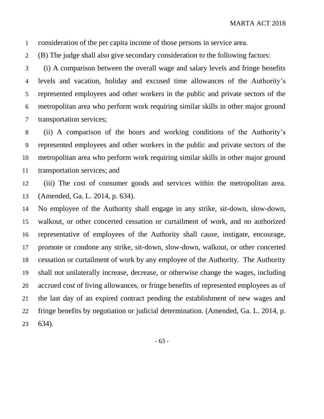consideration of the per capita income of those persons in service area.

(B) The judge shall also give secondary consideration to the following factors:

 (i) A comparison between the overall wage and salary levels and fringe benefits levels and vacation, holiday and excused time allowances of the Authority's represented employees and other workers in the public and private sectors of the metropolitan area who perform work requiring similar skills in other major ground transportation services;

 (ii) A comparison of the hours and working conditions of the Authority's represented employees and other workers in the public and private sectors of the metropolitan area who perform work requiring similar skills in other major ground transportation services; and

 (iii) The cost of consumer goods and services within the metropolitan area. (Amended, Ga. L. 2014, p. 634).

 No employee of the Authority shall engage in any strike, sit-down, slow-down, walkout, or other concerted cessation or curtailment of work, and no authorized representative of employees of the Authority shall cause, instigate, encourage, promote or condone any strike, sit-down, slow-down, walkout, or other concerted cessation or curtailment of work by any employee of the Authority. The Authority shall not unilaterally increase, decrease, or otherwise change the wages, including accrued cost of living allowances, or fringe benefits of represented employees as of the last day of an expired contract pending the establishment of new wages and fringe benefits by negotiation or judicial determination. (Amended, Ga. L. 2014, p. 634).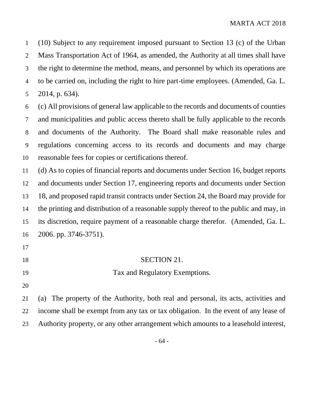(10) Subject to any requirement imposed pursuant to Section 13 (c) of the Urban Mass Transportation Act of 1964, as amended, the Authority at all times shall have the right to determine the method, means, and personnel by which its operations are to be carried on, including the right to hire part-time employees. (Amended, Ga. L. 2014, p. 634).

 (c) All provisions of general law applicable to the records and documents of counties and municipalities and public access thereto shall be fully applicable to the records and documents of the Authority. The Board shall make reasonable rules and regulations concerning access to its records and documents and may charge reasonable fees for copies or certifications thereof.

 (d) As to copies of financial reports and documents under Section 16, budget reports and documents under Section 17, engineering reports and documents under Section 18, and proposed rapid transit contracts under Section 24, the Board may provide for the printing and distribution of a reasonable supply thereof to the public and may, in its discretion, require payment of a reasonable charge therefor. (Amended, Ga. L. 2006. pp. 3746-3751).

#### 18 SECTION 21.

- Tax and Regulatory Exemptions.
- 

 (a) The property of the Authority, both real and personal, its acts, activities and income shall be exempt from any tax or tax obligation. In the event of any lease of Authority property, or any other arrangement which amounts to a leasehold interest,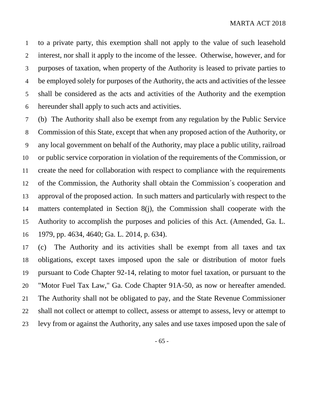to a private party, this exemption shall not apply to the value of such leasehold interest, nor shall it apply to the income of the lessee. Otherwise, however, and for purposes of taxation, when property of the Authority is leased to private parties to be employed solely for purposes of the Authority, the acts and activities of the lessee shall be considered as the acts and activities of the Authority and the exemption hereunder shall apply to such acts and activities.

 (b) The Authority shall also be exempt from any regulation by the Public Service Commission of this State, except that when any proposed action of the Authority, or any local government on behalf of the Authority, may place a public utility, railroad or public service corporation in violation of the requirements of the Commission, or create the need for collaboration with respect to compliance with the requirements of the Commission, the Authority shall obtain the Commission´s cooperation and approval of the proposed action. In such matters and particularly with respect to the matters contemplated in Section 8(j), the Commission shall cooperate with the Authority to accomplish the purposes and policies of this Act. (Amended, Ga. L. 1979, pp. 4634, 4640; Ga. L. 2014, p. 634).

 (c) The Authority and its activities shall be exempt from all taxes and tax obligations, except taxes imposed upon the sale or distribution of motor fuels pursuant to Code Chapter 92-14, relating to motor fuel taxation, or pursuant to the "Motor Fuel Tax Law," Ga. Code Chapter 91A-50, as now or hereafter amended. The Authority shall not be obligated to pay, and the State Revenue Commissioner shall not collect or attempt to collect, assess or attempt to assess, levy or attempt to levy from or against the Authority, any sales and use taxes imposed upon the sale of

- 65 -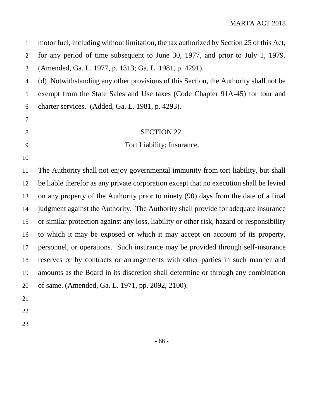| $\mathbf{1}$   | motor fuel, including without limitation, the tax authorized by Section 25 of this Act,   |
|----------------|-------------------------------------------------------------------------------------------|
| $\overline{2}$ | for any period of time subsequent to June 30, 1977, and prior to July 1, 1979.            |
| 3              | (Amended, Ga. L. 1977, p. 1313; Ga. L. 1981, p. 4291).                                    |
| $\overline{4}$ | (d) Notwithstanding any other provisions of this Section, the Authority shall not be      |
| 5              | exempt from the State Sales and Use taxes (Code Chapter 91A-45) for tour and              |
| 6              | charter services. (Added, Ga. L. 1981, p. 4293).                                          |
| 7              |                                                                                           |
| 8              | <b>SECTION 22.</b>                                                                        |
| 9              | Tort Liability; Insurance.                                                                |
| 10             |                                                                                           |
| 11             | The Authority shall not enjoy governmental immunity from tort liability, but shall        |
| 12             | be liable therefor as any private corporation except that no execution shall be levied    |
| 13             | on any property of the Authority prior to ninety (90) days from the date of a final       |
| 14             | judgment against the Authority. The Authority shall provide for adequate insurance        |
| 15             | or similar protection against any loss, liability or other risk, hazard or responsibility |
| 16             | to which it may be exposed or which it may accept on account of its property,             |
| 17             | personnel, or operations. Such insurance may be provided through self-insurance           |
| 18             | reserves or by contracts or arrangements with other parties in such manner and            |
| 19             | amounts as the Board in its discretion shall determine or through any combination         |
| 20             | of same. (Amended, Ga. L. 1971, pp. 2092, 2100).                                          |
| 21             |                                                                                           |
| 22             |                                                                                           |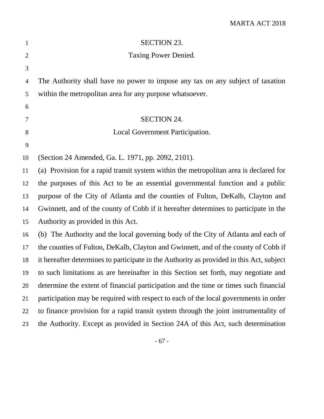| $\mathbf{1}$   | <b>SECTION 23.</b>                                                                       |
|----------------|------------------------------------------------------------------------------------------|
| $\overline{2}$ | Taxing Power Denied.                                                                     |
| 3              |                                                                                          |
| 4              | The Authority shall have no power to impose any tax on any subject of taxation           |
| 5              | within the metropolitan area for any purpose whatsoever.                                 |
| 6              |                                                                                          |
| 7              | <b>SECTION 24.</b>                                                                       |
| 8              | Local Government Participation.                                                          |
| 9              |                                                                                          |
| 10             | (Section 24 Amended, Ga. L. 1971, pp. 2092, 2101).                                       |
| 11             | (a) Provision for a rapid transit system within the metropolitan area is declared for    |
| 12             | the purposes of this Act to be an essential governmental function and a public           |
| 13             | purpose of the City of Atlanta and the counties of Fulton, DeKalb, Clayton and           |
| 14             | Gwinnett, and of the county of Cobb if it hereafter determines to participate in the     |
| 15             | Authority as provided in this Act.                                                       |
| 16             | (b) The Authority and the local governing body of the City of Atlanta and each of        |
| 17             | the counties of Fulton, DeKalb, Clayton and Gwinnett, and of the county of Cobb if       |
| 18             | it hereafter determines to participate in the Authority as provided in this Act, subject |
| 19             | to such limitations as are hereinafter in this Section set forth, may negotiate and      |
| 20             | determine the extent of financial participation and the time or times such financial     |
| 21             | participation may be required with respect to each of the local governments in order     |
| 22             | to finance provision for a rapid transit system through the joint instrumentality of     |
| 23             | the Authority. Except as provided in Section 24A of this Act, such determination         |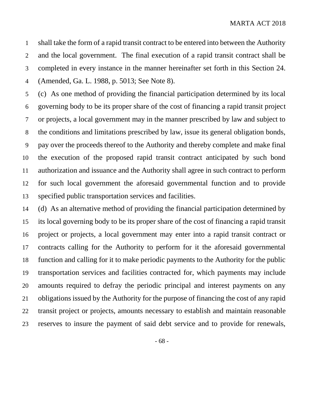shall take the form of a rapid transit contract to be entered into between the Authority and the local government. The final execution of a rapid transit contract shall be completed in every instance in the manner hereinafter set forth in this Section 24. (Amended, Ga. L. 1988, p. 5013; See Note 8).

 (c) As one method of providing the financial participation determined by its local governing body to be its proper share of the cost of financing a rapid transit project or projects, a local government may in the manner prescribed by law and subject to the conditions and limitations prescribed by law, issue its general obligation bonds, pay over the proceeds thereof to the Authority and thereby complete and make final the execution of the proposed rapid transit contract anticipated by such bond authorization and issuance and the Authority shall agree in such contract to perform for such local government the aforesaid governmental function and to provide specified public transportation services and facilities.

 (d) As an alternative method of providing the financial participation determined by its local governing body to be its proper share of the cost of financing a rapid transit project or projects, a local government may enter into a rapid transit contract or contracts calling for the Authority to perform for it the aforesaid governmental function and calling for it to make periodic payments to the Authority for the public transportation services and facilities contracted for, which payments may include amounts required to defray the periodic principal and interest payments on any obligations issued by the Authority for the purpose of financing the cost of any rapid transit project or projects, amounts necessary to establish and maintain reasonable reserves to insure the payment of said debt service and to provide for renewals,

- 68 -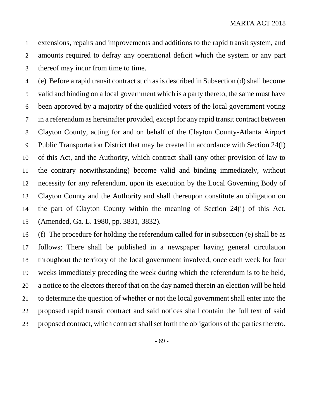extensions, repairs and improvements and additions to the rapid transit system, and amounts required to defray any operational deficit which the system or any part thereof may incur from time to time.

 (e) Before a rapid transit contract such as is described in Subsection (d) shall become valid and binding on a local government which is a party thereto, the same must have been approved by a majority of the qualified voters of the local government voting in a referendum as hereinafter provided, except for any rapid transit contract between Clayton County, acting for and on behalf of the Clayton County-Atlanta Airport Public Transportation District that may be created in accordance with Section 24(l) of this Act, and the Authority, which contract shall (any other provision of law to the contrary notwithstanding) become valid and binding immediately, without necessity for any referendum, upon its execution by the Local Governing Body of Clayton County and the Authority and shall thereupon constitute an obligation on the part of Clayton County within the meaning of Section 24(i) of this Act. (Amended, Ga. L. 1980, pp. 3831, 3832).

 (f) The procedure for holding the referendum called for in subsection (e) shall be as follows: There shall be published in a newspaper having general circulation throughout the territory of the local government involved, once each week for four weeks immediately preceding the week during which the referendum is to be held, a notice to the electors thereof that on the day named therein an election will be held to determine the question of whether or not the local government shall enter into the proposed rapid transit contract and said notices shall contain the full text of said proposed contract, which contract shall set forth the obligations of the parties thereto.

- 69 -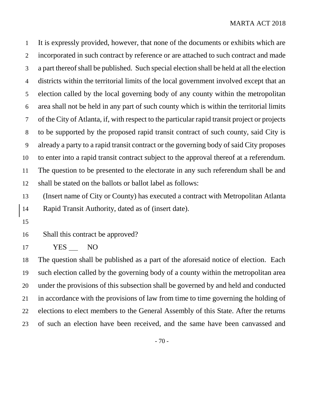It is expressly provided, however, that none of the documents or exhibits which are incorporated in such contract by reference or are attached to such contract and made a part thereof shall be published. Such special election shall be held at all the election districts within the territorial limits of the local government involved except that an election called by the local governing body of any county within the metropolitan area shall not be held in any part of such county which is within the territorial limits of the City of Atlanta, if, with respect to the particular rapid transit project or projects to be supported by the proposed rapid transit contract of such county, said City is already a party to a rapid transit contract or the governing body of said City proposes to enter into a rapid transit contract subject to the approval thereof at a referendum. The question to be presented to the electorate in any such referendum shall be and shall be stated on the ballots or ballot label as follows:

 (Insert name of City or County) has executed a contract with Metropolitan Atlanta Rapid Transit Authority, dated as of (insert date).

Shall this contract be approved?

YES NO

 The question shall be published as a part of the aforesaid notice of election. Each such election called by the governing body of a county within the metropolitan area under the provisions of this subsection shall be governed by and held and conducted in accordance with the provisions of law from time to time governing the holding of elections to elect members to the General Assembly of this State. After the returns of such an election have been received, and the same have been canvassed and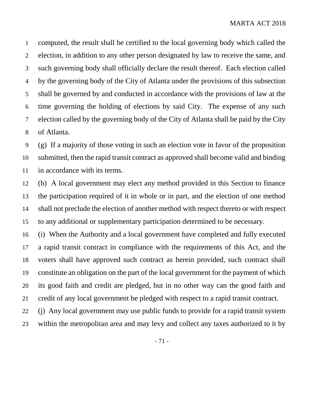computed, the result shall be certified to the local governing body which called the election, in addition to any other person designated by law to receive the same, and such governing body shall officially declare the result thereof. Each election called by the governing body of the City of Atlanta under the provisions of this subsection shall be governed by and conducted in accordance with the provisions of law at the time governing the holding of elections by said City. The expense of any such election called by the governing body of the City of Atlanta shall be paid by the City of Atlanta.

 (g) If a majority of those voting in such an election vote in favor of the proposition submitted, then the rapid transit contract as approved shall become valid and binding in accordance with its terms.

 (h) A local government may elect any method provided in this Section to finance the participation required of it in whole or in part, and the election of one method shall not preclude the election of another method with respect thereto or with respect to any additional or supplementary participation determined to be necessary.

 (i) When the Authority and a local government have completed and fully executed a rapid transit contract in compliance with the requirements of this Act, and the voters shall have approved such contract as herein provided, such contract shall constitute an obligation on the part of the local government for the payment of which its good faith and credit are pledged, but in no other way can the good faith and credit of any local government be pledged with respect to a rapid transit contract.

 (j) Any local government may use public funds to provide for a rapid transit system within the metropolitan area and may levy and collect any taxes authorized to it by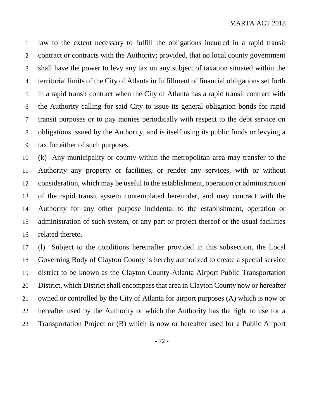law to the extent necessary to fulfill the obligations incurred in a rapid transit contract or contracts with the Authority; provided, that no local county government shall have the power to levy any tax on any subject of taxation situated within the territorial limits of the City of Atlanta in fulfillment of financial obligations set forth in a rapid transit contract when the City of Atlanta has a rapid transit contract with the Authority calling for said City to issue its general obligation bonds for rapid transit purposes or to pay monies periodically with respect to the debt service on obligations issued by the Authority, and is itself using its public funds or levying a tax for either of such purposes.

 (k) Any municipality or county within the metropolitan area may transfer to the Authority any property or facilities, or render any services, with or without consideration, which may be useful to the establishment, operation or administration of the rapid transit system contemplated hereunder, and may contract with the Authority for any other purpose incidental to the establishment, operation or administration of such system, or any part or project thereof or the usual facilities related thereto.

 (l) Subject to the conditions hereinafter provided in this subsection, the Local Governing Body of Clayton County is hereby authorized to create a special service district to be known as the Clayton County-Atlanta Airport Public Transportation District, which District shall encompass that area in Clayton County now or hereafter owned or controlled by the City of Atlanta for airport purposes (A) which is now or hereafter used by the Authority or which the Authority has the right to use for a Transportation Project or (B) which is now or hereafter used for a Public Airport

- 72 -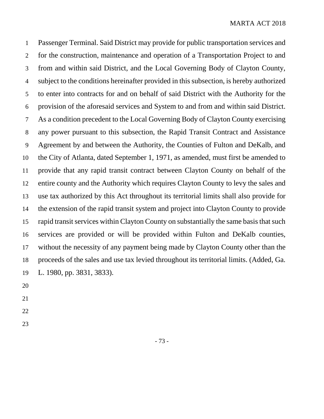Passenger Terminal. Said District may provide for public transportation services and for the construction, maintenance and operation of a Transportation Project to and from and within said District, and the Local Governing Body of Clayton County, subject to the conditions hereinafter provided in this subsection, is hereby authorized to enter into contracts for and on behalf of said District with the Authority for the provision of the aforesaid services and System to and from and within said District. As a condition precedent to the Local Governing Body of Clayton County exercising any power pursuant to this subsection, the Rapid Transit Contract and Assistance Agreement by and between the Authority, the Counties of Fulton and DeKalb, and the City of Atlanta, dated September 1, 1971, as amended, must first be amended to provide that any rapid transit contract between Clayton County on behalf of the entire county and the Authority which requires Clayton County to levy the sales and use tax authorized by this Act throughout its territorial limits shall also provide for the extension of the rapid transit system and project into Clayton County to provide rapid transit services within Clayton County on substantially the same basis that such services are provided or will be provided within Fulton and DeKalb counties, without the necessity of any payment being made by Clayton County other than the proceeds of the sales and use tax levied throughout its territorial limits. (Added, Ga. L. 1980, pp. 3831, 3833).

- 
-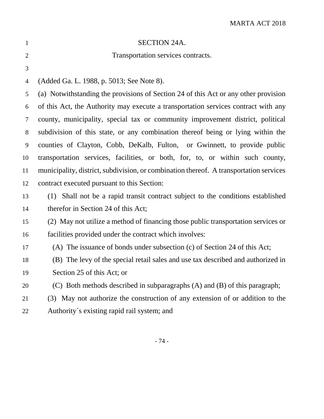| $\mathbf{1}$   | <b>SECTION 24A.</b>                                                                    |
|----------------|----------------------------------------------------------------------------------------|
| $\overline{2}$ | Transportation services contracts.                                                     |
| 3              |                                                                                        |
| $\overline{4}$ | (Added Ga. L. 1988, p. 5013; See Note 8).                                              |
| 5              | (a) Notwithstanding the provisions of Section 24 of this Act or any other provision    |
| 6              | of this Act, the Authority may execute a transportation services contract with any     |
| $\tau$         | county, municipality, special tax or community improvement district, political         |
| 8              | subdivision of this state, or any combination thereof being or lying within the        |
| 9              | counties of Clayton, Cobb, DeKalb, Fulton, or Gwinnett, to provide public              |
| 10             | transportation services, facilities, or both, for, to, or within such county,          |
| 11             | municipality, district, subdivision, or combination thereof. A transportation services |
| 12             | contract executed pursuant to this Section:                                            |
| 13             | (1) Shall not be a rapid transit contract subject to the conditions established        |
| 14             | therefor in Section 24 of this Act;                                                    |
| 15             | (2) May not utilize a method of financing those public transportation services or      |
| 16             | facilities provided under the contract which involves:                                 |
| 17             | (A) The issuance of bonds under subsection (c) of Section 24 of this Act;              |
| 18             | (B) The levy of the special retail sales and use tax described and authorized in       |
| 19             | Section 25 of this Act; or                                                             |
| 20             | (C) Both methods described in subparagraphs (A) and (B) of this paragraph;             |
| 21             | May not authorize the construction of any extension of or addition to the<br>(3)       |
| 22             | Authority's existing rapid rail system; and                                            |
|                |                                                                                        |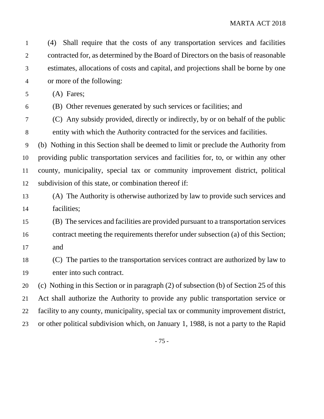(4) Shall require that the costs of any transportation services and facilities contracted for, as determined by the Board of Directors on the basis of reasonable estimates, allocations of costs and capital, and projections shall be borne by one or more of the following:

(A) Fares;

(B) Other revenues generated by such services or facilities; and

 (C) Any subsidy provided, directly or indirectly, by or on behalf of the public entity with which the Authority contracted for the services and facilities.

 (b) Nothing in this Section shall be deemed to limit or preclude the Authority from providing public transportation services and facilities for, to, or within any other county, municipality, special tax or community improvement district, political subdivision of this state, or combination thereof if:

- (A) The Authority is otherwise authorized by law to provide such services and facilities;
- (B) The services and facilities are provided pursuant to a transportation services contract meeting the requirements therefor under subsection (a) of this Section; and
- (C) The parties to the transportation services contract are authorized by law to enter into such contract.

 (c) Nothing in this Section or in paragraph (2) of subsection (b) of Section 25 of this Act shall authorize the Authority to provide any public transportation service or facility to any county, municipality, special tax or community improvement district, or other political subdivision which, on January 1, 1988, is not a party to the Rapid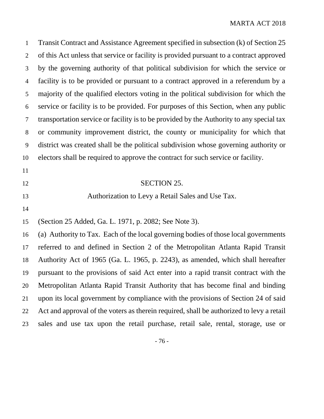| $\mathbf{1}$   | Transit Contract and Assistance Agreement specified in subsection (k) of Section 25      |
|----------------|------------------------------------------------------------------------------------------|
| 2              | of this Act unless that service or facility is provided pursuant to a contract approved  |
| 3              | by the governing authority of that political subdivision for which the service or        |
| $\overline{4}$ | facility is to be provided or pursuant to a contract approved in a referendum by a       |
| 5              | majority of the qualified electors voting in the political subdivision for which the     |
| 6              | service or facility is to be provided. For purposes of this Section, when any public     |
| $\tau$         | transportation service or facility is to be provided by the Authority to any special tax |
| 8              | or community improvement district, the county or municipality for which that             |
| 9              | district was created shall be the political subdivision whose governing authority or     |
| 10             | electors shall be required to approve the contract for such service or facility.         |
| 11             |                                                                                          |
| 12             | <b>SECTION 25.</b>                                                                       |
| 13             | Authorization to Levy a Retail Sales and Use Tax.                                        |
| 14             |                                                                                          |
| 15             | (Section 25 Added, Ga. L. 1971, p. 2082; See Note 3).                                    |
| 16             | (a) Authority to Tax. Each of the local governing bodies of those local governments      |
| 17             | referred to and defined in Section 2 of the Metropolitan Atlanta Rapid Transit           |
| 18             | Authority Act of 1965 (Ga. L. 1965, p. 2243), as amended, which shall hereafter          |
| 19             | pursuant to the provisions of said Act enter into a rapid transit contract with the      |
| 20             | Metropolitan Atlanta Rapid Transit Authority that has become final and binding           |
| 21             | upon its local government by compliance with the provisions of Section 24 of said        |
| 22             | Act and approval of the voters as therein required, shall be authorized to levy a retail |
| 23             | sales and use tax upon the retail purchase, retail sale, rental, storage, use or         |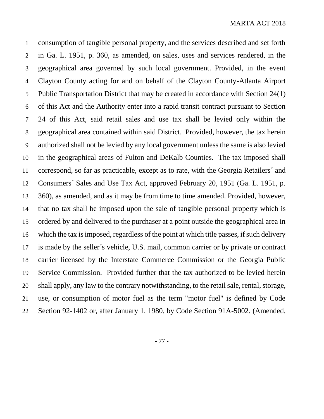consumption of tangible personal property, and the services described and set forth in Ga. L. 1951, p. 360, as amended, on sales, uses and services rendered, in the geographical area governed by such local government. Provided, in the event Clayton County acting for and on behalf of the Clayton County-Atlanta Airport Public Transportation District that may be created in accordance with Section 24(1) of this Act and the Authority enter into a rapid transit contract pursuant to Section 24 of this Act, said retail sales and use tax shall be levied only within the geographical area contained within said District. Provided, however, the tax herein authorized shall not be levied by any local government unless the same is also levied in the geographical areas of Fulton and DeKalb Counties. The tax imposed shall correspond, so far as practicable, except as to rate, with the Georgia Retailers´ and Consumers´ Sales and Use Tax Act, approved February 20, 1951 (Ga. L. 1951, p. 360), as amended, and as it may be from time to time amended. Provided, however, that no tax shall be imposed upon the sale of tangible personal property which is ordered by and delivered to the purchaser at a point outside the geographical area in which the tax is imposed, regardless of the point at which title passes, if such delivery is made by the seller´s vehicle, U.S. mail, common carrier or by private or contract carrier licensed by the Interstate Commerce Commission or the Georgia Public Service Commission. Provided further that the tax authorized to be levied herein shall apply, any law to the contrary notwithstanding, to the retail sale, rental, storage, use, or consumption of motor fuel as the term "motor fuel" is defined by Code Section 92-1402 or, after January 1, 1980, by Code Section 91A-5002. (Amended,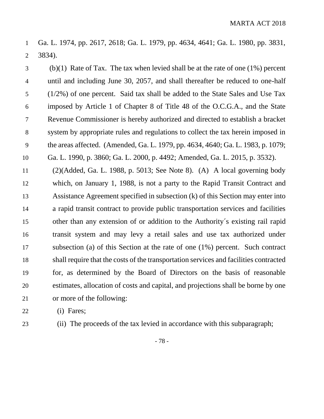Ga. L. 1974, pp. 2617, 2618; Ga. L. 1979, pp. 4634, 4641; Ga. L. 1980, pp. 3831, 3834).

 (b)(1) Rate of Tax. The tax when levied shall be at the rate of one (1%) percent until and including June 30, 2057, and shall thereafter be reduced to one-half (1/2%) of one percent. Said tax shall be added to the State Sales and Use Tax imposed by Article 1 of Chapter 8 of Title 48 of the O.C.G.A., and the State Revenue Commissioner is hereby authorized and directed to establish a bracket system by appropriate rules and regulations to collect the tax herein imposed in the areas affected. (Amended, Ga. L. 1979, pp. 4634, 4640; Ga. L. 1983, p. 1079; Ga. L. 1990, p. 3860; Ga. L. 2000, p. 4492; Amended, Ga. L. 2015, p. 3532).

 (2)(Added, Ga. L. 1988, p. 5013; See Note 8). (A) A local governing body which, on January 1, 1988, is not a party to the Rapid Transit Contract and Assistance Agreement specified in subsection (k) of this Section may enter into a rapid transit contract to provide public transportation services and facilities other than any extension of or addition to the Authority´s existing rail rapid transit system and may levy a retail sales and use tax authorized under subsection (a) of this Section at the rate of one (1%) percent. Such contract shall require that the costs of the transportation services and facilities contracted for, as determined by the Board of Directors on the basis of reasonable estimates, allocation of costs and capital, and projections shall be borne by one or more of the following:

(i) Fares;

(ii) The proceeds of the tax levied in accordance with this subparagraph;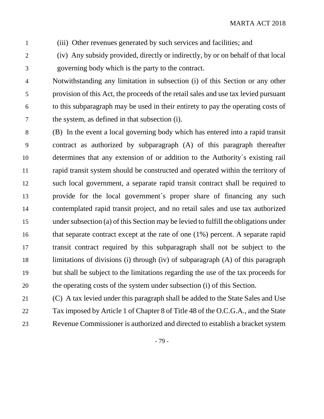(iii) Other revenues generated by such services and facilities; and

 (iv) Any subsidy provided, directly or indirectly, by or on behalf of that local governing body which is the party to the contract.

 Notwithstanding any limitation in subsection (i) of this Section or any other provision of this Act, the proceeds of the retail sales and use tax levied pursuant to this subparagraph may be used in their entirety to pay the operating costs of the system, as defined in that subsection (i).

 (B) In the event a local governing body which has entered into a rapid transit contract as authorized by subparagraph (A) of this paragraph thereafter determines that any extension of or addition to the Authority´s existing rail rapid transit system should be constructed and operated within the territory of such local government, a separate rapid transit contract shall be required to provide for the local government´s proper share of financing any such contemplated rapid transit project, and no retail sales and use tax authorized under subsection (a) of this Section may be levied to fulfill the obligations under that separate contract except at the rate of one (1%) percent. A separate rapid transit contract required by this subparagraph shall not be subject to the limitations of divisions (i) through (iv) of subparagraph (A) of this paragraph but shall be subject to the limitations regarding the use of the tax proceeds for the operating costs of the system under subsection (i) of this Section.

 (C) A tax levied under this paragraph shall be added to the State Sales and Use Tax imposed by Article 1 of Chapter 8 of Title 48 of the O.C.G.A., and the State Revenue Commissioner is authorized and directed to establish a bracket system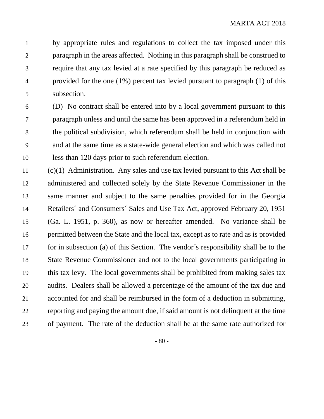by appropriate rules and regulations to collect the tax imposed under this paragraph in the areas affected. Nothing in this paragraph shall be construed to require that any tax levied at a rate specified by this paragraph be reduced as provided for the one (1%) percent tax levied pursuant to paragraph (1) of this subsection.

 (D) No contract shall be entered into by a local government pursuant to this paragraph unless and until the same has been approved in a referendum held in the political subdivision, which referendum shall be held in conjunction with and at the same time as a state-wide general election and which was called not less than 120 days prior to such referendum election.

 (c)(1) Administration. Any sales and use tax levied pursuant to this Act shall be administered and collected solely by the State Revenue Commissioner in the same manner and subject to the same penalties provided for in the Georgia Retailers´ and Consumers´ Sales and Use Tax Act, approved February 20, 1951 (Ga. L. 1951, p. 360), as now or hereafter amended. No variance shall be permitted between the State and the local tax, except as to rate and as is provided for in subsection (a) of this Section. The vendor´s responsibility shall be to the State Revenue Commissioner and not to the local governments participating in this tax levy. The local governments shall be prohibited from making sales tax audits. Dealers shall be allowed a percentage of the amount of the tax due and accounted for and shall be reimbursed in the form of a deduction in submitting, reporting and paying the amount due, if said amount is not delinquent at the time of payment. The rate of the deduction shall be at the same rate authorized for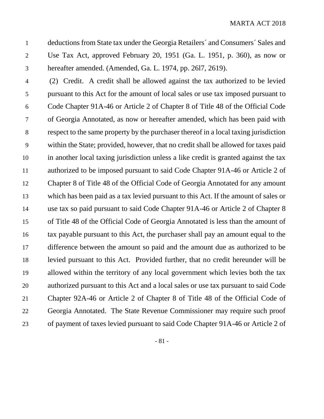deductions from State tax under the Georgia Retailers´ and Consumers´ Sales and Use Tax Act, approved February 20, 1951 (Ga. L. 1951, p. 360), as now or hereafter amended. (Amended, Ga. L. 1974, pp. 26l7, 2619).

 (2) Credit. A credit shall be allowed against the tax authorized to be levied pursuant to this Act for the amount of local sales or use tax imposed pursuant to Code Chapter 91A-46 or Article 2 of Chapter 8 of Title 48 of the Official Code of Georgia Annotated, as now or hereafter amended, which has been paid with respect to the same property by the purchaser thereof in a local taxing jurisdiction within the State; provided, however, that no credit shall be allowed for taxes paid in another local taxing jurisdiction unless a like credit is granted against the tax authorized to be imposed pursuant to said Code Chapter 91A-46 or Article 2 of Chapter 8 of Title 48 of the Official Code of Georgia Annotated for any amount which has been paid as a tax levied pursuant to this Act. If the amount of sales or use tax so paid pursuant to said Code Chapter 91A-46 or Article 2 of Chapter 8 of Title 48 of the Official Code of Georgia Annotated is less than the amount of tax payable pursuant to this Act, the purchaser shall pay an amount equal to the difference between the amount so paid and the amount due as authorized to be levied pursuant to this Act. Provided further, that no credit hereunder will be allowed within the territory of any local government which levies both the tax authorized pursuant to this Act and a local sales or use tax pursuant to said Code Chapter 92A-46 or Article 2 of Chapter 8 of Title 48 of the Official Code of Georgia Annotated. The State Revenue Commissioner may require such proof of payment of taxes levied pursuant to said Code Chapter 91A-46 or Article 2 of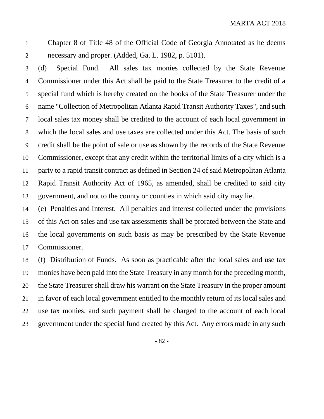Chapter 8 of Title 48 of the Official Code of Georgia Annotated as he deems necessary and proper. (Added, Ga. L. 1982, p. 5101).

 (d) Special Fund. All sales tax monies collected by the State Revenue Commissioner under this Act shall be paid to the State Treasurer to the credit of a special fund which is hereby created on the books of the State Treasurer under the name "Collection of Metropolitan Atlanta Rapid Transit Authority Taxes", and such local sales tax money shall be credited to the account of each local government in which the local sales and use taxes are collected under this Act. The basis of such credit shall be the point of sale or use as shown by the records of the State Revenue Commissioner, except that any credit within the territorial limits of a city which is a party to a rapid transit contract as defined in Section 24 of said Metropolitan Atlanta Rapid Transit Authority Act of 1965, as amended, shall be credited to said city government, and not to the county or counties in which said city may lie.

 (e) Penalties and Interest. All penalties and interest collected under the provisions of this Act on sales and use tax assessments shall be prorated between the State and the local governments on such basis as may be prescribed by the State Revenue Commissioner.

 (f) Distribution of Funds. As soon as practicable after the local sales and use tax monies have been paid into the State Treasury in any month for the preceding month, the State Treasurer shall draw his warrant on the State Treasury in the proper amount in favor of each local government entitled to the monthly return of its local sales and use tax monies, and such payment shall be charged to the account of each local government under the special fund created by this Act. Any errors made in any such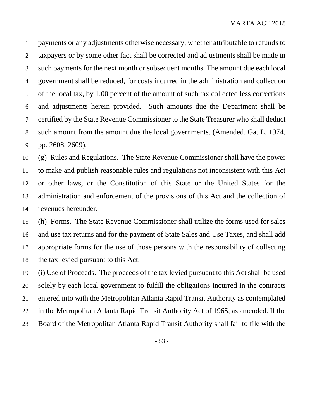payments or any adjustments otherwise necessary, whether attributable to refunds to taxpayers or by some other fact shall be corrected and adjustments shall be made in such payments for the next month or subsequent months. The amount due each local government shall be reduced, for costs incurred in the administration and collection of the local tax, by 1.00 percent of the amount of such tax collected less corrections and adjustments herein provided. Such amounts due the Department shall be certified by the State Revenue Commissioner to the State Treasurer who shall deduct such amount from the amount due the local governments. (Amended, Ga. L. 1974, pp. 2608, 2609).

 (g) Rules and Regulations. The State Revenue Commissioner shall have the power to make and publish reasonable rules and regulations not inconsistent with this Act or other laws, or the Constitution of this State or the United States for the administration and enforcement of the provisions of this Act and the collection of revenues hereunder.

 (h) Forms. The State Revenue Commissioner shall utilize the forms used for sales and use tax returns and for the payment of State Sales and Use Taxes, and shall add appropriate forms for the use of those persons with the responsibility of collecting the tax levied pursuant to this Act.

 (i) Use of Proceeds. The proceeds of the tax levied pursuant to this Act shall be used solely by each local government to fulfill the obligations incurred in the contracts entered into with the Metropolitan Atlanta Rapid Transit Authority as contemplated in the Metropolitan Atlanta Rapid Transit Authority Act of 1965, as amended. If the Board of the Metropolitan Atlanta Rapid Transit Authority shall fail to file with the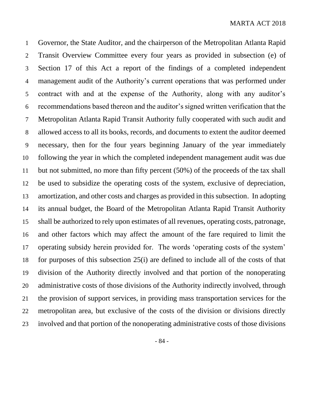Governor, the State Auditor, and the chairperson of the Metropolitan Atlanta Rapid Transit Overview Committee every four years as provided in subsection (e) of Section 17 of this Act a report of the findings of a completed independent management audit of the Authority's current operations that was performed under contract with and at the expense of the Authority, along with any auditor's recommendations based thereon and the auditor's signed written verification that the Metropolitan Atlanta Rapid Transit Authority fully cooperated with such audit and allowed access to all its books, records, and documents to extent the auditor deemed necessary, then for the four years beginning January of the year immediately following the year in which the completed independent management audit was due but not submitted, no more than fifty percent (50%) of the proceeds of the tax shall be used to subsidize the operating costs of the system, exclusive of depreciation, amortization, and other costs and charges as provided in this subsection. In adopting its annual budget, the Board of the Metropolitan Atlanta Rapid Transit Authority shall be authorized to rely upon estimates of all revenues, operating costs, patronage, and other factors which may affect the amount of the fare required to limit the operating subsidy herein provided for. The words 'operating costs of the system' for purposes of this subsection 25(i) are defined to include all of the costs of that division of the Authority directly involved and that portion of the nonoperating administrative costs of those divisions of the Authority indirectly involved, through the provision of support services, in providing mass transportation services for the metropolitan area, but exclusive of the costs of the division or divisions directly involved and that portion of the nonoperating administrative costs of those divisions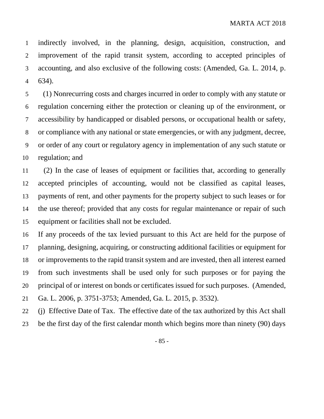indirectly involved, in the planning, design, acquisition, construction, and improvement of the rapid transit system, according to accepted principles of accounting, and also exclusive of the following costs: (Amended, Ga. L. 2014, p. 634).

 (1) Nonrecurring costs and charges incurred in order to comply with any statute or regulation concerning either the protection or cleaning up of the environment, or accessibility by handicapped or disabled persons, or occupational health or safety, or compliance with any national or state emergencies, or with any judgment, decree, or order of any court or regulatory agency in implementation of any such statute or regulation; and

 (2) In the case of leases of equipment or facilities that, according to generally accepted principles of accounting, would not be classified as capital leases, payments of rent, and other payments for the property subject to such leases or for the use thereof; provided that any costs for regular maintenance or repair of such equipment or facilities shall not be excluded.

 If any proceeds of the tax levied pursuant to this Act are held for the purpose of planning, designing, acquiring, or constructing additional facilities or equipment for or improvements to the rapid transit system and are invested, then all interest earned from such investments shall be used only for such purposes or for paying the principal of or interest on bonds or certificates issued for such purposes. (Amended, Ga. L. 2006, p. 3751-3753; Amended, Ga. L. 2015, p. 3532).

(j) Effective Date of Tax. The effective date of the tax authorized by this Act shall

be the first day of the first calendar month which begins more than ninety (90) days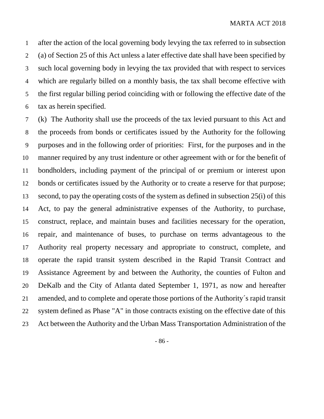after the action of the local governing body levying the tax referred to in subsection (a) of Section 25 of this Act unless a later effective date shall have been specified by such local governing body in levying the tax provided that with respect to services which are regularly billed on a monthly basis, the tax shall become effective with the first regular billing period coinciding with or following the effective date of the tax as herein specified.

 (k) The Authority shall use the proceeds of the tax levied pursuant to this Act and the proceeds from bonds or certificates issued by the Authority for the following purposes and in the following order of priorities: First, for the purposes and in the manner required by any trust indenture or other agreement with or for the benefit of bondholders, including payment of the principal of or premium or interest upon bonds or certificates issued by the Authority or to create a reserve for that purpose; second, to pay the operating costs of the system as defined in subsection 25(i) of this Act, to pay the general administrative expenses of the Authority, to purchase, construct, replace, and maintain buses and facilities necessary for the operation, repair, and maintenance of buses, to purchase on terms advantageous to the Authority real property necessary and appropriate to construct, complete, and operate the rapid transit system described in the Rapid Transit Contract and Assistance Agreement by and between the Authority, the counties of Fulton and DeKalb and the City of Atlanta dated September 1, 1971, as now and hereafter amended, and to complete and operate those portions of the Authority´s rapid transit system defined as Phase "A" in those contracts existing on the effective date of this Act between the Authority and the Urban Mass Transportation Administration of the

- 86 -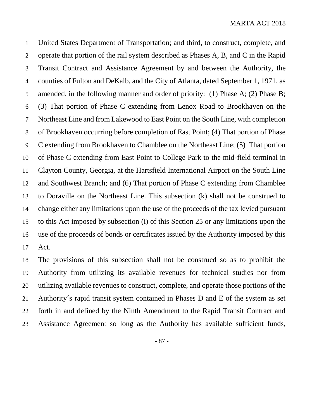United States Department of Transportation; and third, to construct, complete, and operate that portion of the rail system described as Phases A, B, and C in the Rapid Transit Contract and Assistance Agreement by and between the Authority, the counties of Fulton and DeKalb, and the City of Atlanta, dated September 1, 1971, as amended, in the following manner and order of priority: (1) Phase A; (2) Phase B; (3) That portion of Phase C extending from Lenox Road to Brookhaven on the Northeast Line and from Lakewood to East Point on the South Line, with completion of Brookhaven occurring before completion of East Point; (4) That portion of Phase C extending from Brookhaven to Chamblee on the Northeast Line; (5) That portion of Phase C extending from East Point to College Park to the mid-field terminal in Clayton County, Georgia, at the Hartsfield International Airport on the South Line and Southwest Branch; and (6) That portion of Phase C extending from Chamblee to Doraville on the Northeast Line. This subsection (k) shall not be construed to change either any limitations upon the use of the proceeds of the tax levied pursuant to this Act imposed by subsection (i) of this Section 25 or any limitations upon the use of the proceeds of bonds or certificates issued by the Authority imposed by this Act.

 The provisions of this subsection shall not be construed so as to prohibit the Authority from utilizing its available revenues for technical studies nor from utilizing available revenues to construct, complete, and operate those portions of the Authority´s rapid transit system contained in Phases D and E of the system as set forth in and defined by the Ninth Amendment to the Rapid Transit Contract and Assistance Agreement so long as the Authority has available sufficient funds,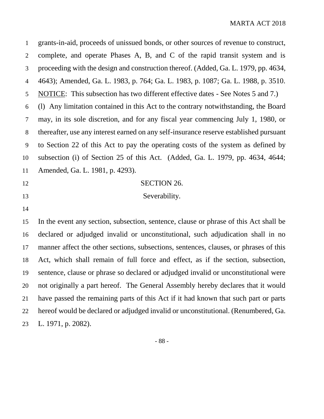grants-in-aid, proceeds of unissued bonds, or other sources of revenue to construct, complete, and operate Phases A, B, and C of the rapid transit system and is proceeding with the design and construction thereof. (Added, Ga. L. 1979, pp. 4634, 4643); Amended, Ga. L. 1983, p. 764; Ga. L. 1983, p. 1087; Ga. L. 1988, p. 3510. NOTICE: This subsection has two different effective dates - See Notes 5 and 7.) (l) Any limitation contained in this Act to the contrary notwithstanding, the Board may, in its sole discretion, and for any fiscal year commencing July 1, 1980, or thereafter, use any interest earned on any self-insurance reserve established pursuant to Section 22 of this Act to pay the operating costs of the system as defined by subsection (i) of Section 25 of this Act. (Added, Ga. L. 1979, pp. 4634, 4644; Amended, Ga. L. 1981, p. 4293). 12 SECTION 26. 13 Severability. In the event any section, subsection, sentence, clause or phrase of this Act shall be declared or adjudged invalid or unconstitutional, such adjudication shall in no manner affect the other sections, subsections, sentences, clauses, or phrases of this Act, which shall remain of full force and effect, as if the section, subsection, sentence, clause or phrase so declared or adjudged invalid or unconstitutional were not originally a part hereof. The General Assembly hereby declares that it would have passed the remaining parts of this Act if it had known that such part or parts hereof would be declared or adjudged invalid or unconstitutional. (Renumbered, Ga. L. 1971, p. 2082).

- 88 -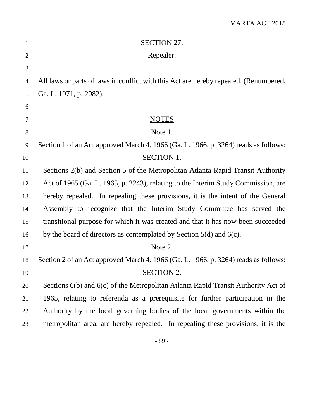| $\mathbf{1}$   | <b>SECTION 27.</b>                                                                    |
|----------------|---------------------------------------------------------------------------------------|
| $\overline{2}$ | Repealer.                                                                             |
| 3              |                                                                                       |
| $\overline{4}$ | All laws or parts of laws in conflict with this Act are hereby repealed. (Renumbered, |
| 5              | Ga. L. 1971, p. 2082).                                                                |
| 6              |                                                                                       |
| $\tau$         | <b>NOTES</b>                                                                          |
| $8\,$          | Note 1.                                                                               |
| 9              | Section 1 of an Act approved March 4, 1966 (Ga. L. 1966, p. 3264) reads as follows:   |
| 10             | <b>SECTION 1.</b>                                                                     |
| 11             | Sections 2(b) and Section 5 of the Metropolitan Atlanta Rapid Transit Authority       |
| 12             | Act of 1965 (Ga. L. 1965, p. 2243), relating to the Interim Study Commission, are     |
| 13             | hereby repealed. In repealing these provisions, it is the intent of the General       |
| 14             | Assembly to recognize that the Interim Study Committee has served the                 |
| 15             | transitional purpose for which it was created and that it has now been succeeded      |
| 16             | by the board of directors as contemplated by Section $5(d)$ and $6(c)$ .              |
| 17             | Note 2.                                                                               |
| 18             | Section 2 of an Act approved March 4, 1966 (Ga. L. 1966, p. 3264) reads as follows:   |
| 19             | <b>SECTION 2.</b>                                                                     |
| 20             | Sections 6(b) and 6(c) of the Metropolitan Atlanta Rapid Transit Authority Act of     |
| 21             | 1965, relating to referenda as a prerequisite for further participation in the        |
| 22             | Authority by the local governing bodies of the local governments within the           |
| 23             | metropolitan area, are hereby repealed. In repealing these provisions, it is the      |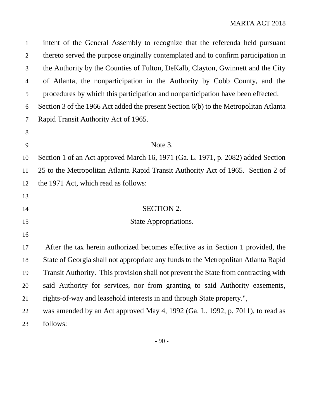| $\mathbf{1}$   | intent of the General Assembly to recognize that the referenda held pursuant         |
|----------------|--------------------------------------------------------------------------------------|
| $\mathbf{2}$   | thereto served the purpose originally contemplated and to confirm participation in   |
| 3              | the Authority by the Counties of Fulton, DeKalb, Clayton, Gwinnett and the City      |
| $\overline{4}$ | of Atlanta, the nonparticipation in the Authority by Cobb County, and the            |
| 5              | procedures by which this participation and nonparticipation have been effected.      |
| 6              | Section 3 of the 1966 Act added the present Section 6(b) to the Metropolitan Atlanta |
| 7              | Rapid Transit Authority Act of 1965.                                                 |
| 8              |                                                                                      |
| 9              | Note 3.                                                                              |
| 10             | Section 1 of an Act approved March 16, 1971 (Ga. L. 1971, p. 2082) added Section     |
| 11             | 25 to the Metropolitan Atlanta Rapid Transit Authority Act of 1965. Section 2 of     |
| 12             | the 1971 Act, which read as follows:                                                 |
| 13             |                                                                                      |
| 14             | <b>SECTION 2.</b>                                                                    |
| 15             | State Appropriations.                                                                |
| 16             |                                                                                      |
| 17             | After the tax herein authorized becomes effective as in Section 1 provided, the      |
| 18             | State of Georgia shall not appropriate any funds to the Metropolitan Atlanta Rapid   |
| 19             | Transit Authority. This provision shall not prevent the State from contracting with  |
| 20             | said Authority for services, nor from granting to said Authority easements,          |
| 21             | rights-of-way and leasehold interests in and through State property.",               |
| 22             | was amended by an Act approved May 4, 1992 (Ga. L. 1992, p. 7011), to read as        |
| 23             | follows:                                                                             |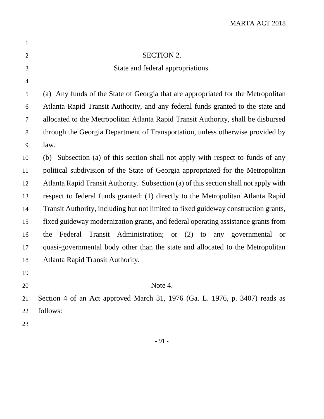| $\mathbf{1}$   |                                                                                      |
|----------------|--------------------------------------------------------------------------------------|
| $\overline{2}$ | <b>SECTION 2.</b>                                                                    |
| $\mathfrak{Z}$ | State and federal appropriations.                                                    |
| $\overline{4}$ |                                                                                      |
| 5              | (a) Any funds of the State of Georgia that are appropriated for the Metropolitan     |
| 6              | Atlanta Rapid Transit Authority, and any federal funds granted to the state and      |
| 7              | allocated to the Metropolitan Atlanta Rapid Transit Authority, shall be disbursed    |
| $8\,$          | through the Georgia Department of Transportation, unless otherwise provided by       |
| 9              | law.                                                                                 |
| 10             | (b) Subsection (a) of this section shall not apply with respect to funds of any      |
| 11             | political subdivision of the State of Georgia appropriated for the Metropolitan      |
| 12             | Atlanta Rapid Transit Authority. Subsection (a) of this section shall not apply with |
| 13             | respect to federal funds granted: (1) directly to the Metropolitan Atlanta Rapid     |
| 14             | Transit Authority, including but not limited to fixed guideway construction grants,  |
| 15             | fixed guideway modernization grants, and federal operating assistance grants from    |
| 16             | Federal Transit Administration; or (2)<br>to any governmental<br>the<br><b>or</b>    |
| 17             | quasi-governmental body other than the state and allocated to the Metropolitan       |
| 18             | Atlanta Rapid Transit Authority.                                                     |
| 19             |                                                                                      |
| 20             | Note 4.                                                                              |
| 21             | Section 4 of an Act approved March 31, 1976 (Ga. L. 1976, p. 3407) reads as          |
| 22             | follows:                                                                             |
| 23             |                                                                                      |
|                |                                                                                      |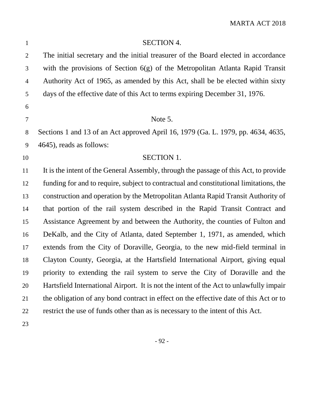| $\mathbf{1}$   | <b>SECTION 4.</b>                                                                      |
|----------------|----------------------------------------------------------------------------------------|
| $\overline{2}$ | The initial secretary and the initial treasurer of the Board elected in accordance     |
| 3              | with the provisions of Section $6(g)$ of the Metropolitan Atlanta Rapid Transit        |
| $\overline{4}$ | Authority Act of 1965, as amended by this Act, shall be be elected within sixty        |
| 5              | days of the effective date of this Act to terms expiring December 31, 1976.            |
| 6              |                                                                                        |
| $\tau$         | Note 5.                                                                                |
| $8\,$          | Sections 1 and 13 of an Act approved April 16, 1979 (Ga. L. 1979, pp. 4634, 4635,      |
| 9              | 4645), reads as follows:                                                               |
| 10             | <b>SECTION 1.</b>                                                                      |
| 11             | It is the intent of the General Assembly, through the passage of this Act, to provide  |
| 12             | funding for and to require, subject to contractual and constitutional limitations, the |
| 13             | construction and operation by the Metropolitan Atlanta Rapid Transit Authority of      |
| 14             | that portion of the rail system described in the Rapid Transit Contract and            |
| 15             | Assistance Agreement by and between the Authority, the counties of Fulton and          |
| 16             | DeKalb, and the City of Atlanta, dated September 1, 1971, as amended, which            |
| 17             | extends from the City of Doraville, Georgia, to the new mid-field terminal in          |
| 18             | Clayton County, Georgia, at the Hartsfield International Airport, giving equal         |
| 19             | priority to extending the rail system to serve the City of Doraville and the           |
| 20             | Hartsfield International Airport. It is not the intent of the Act to unlawfully impair |
| 21             | the obligation of any bond contract in effect on the effective date of this Act or to  |
| 22             | restrict the use of funds other than as is necessary to the intent of this Act.        |
| 23             |                                                                                        |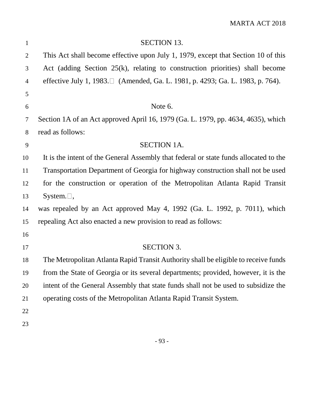| $\mathbf{1}$   | <b>SECTION 13.</b>                                                                    |
|----------------|---------------------------------------------------------------------------------------|
| $\overline{2}$ | This Act shall become effective upon July 1, 1979, except that Section 10 of this     |
| 3              | Act (adding Section $25(k)$ , relating to construction priorities) shall become       |
| $\overline{4}$ | effective July 1, 1983.□ (Amended, Ga. L. 1981, p. 4293; Ga. L. 1983, p. 764).        |
| 5              |                                                                                       |
| 6              | Note 6.                                                                               |
| 7              | Section 1A of an Act approved April 16, 1979 (Ga. L. 1979, pp. 4634, 4635), which     |
| 8              | read as follows:                                                                      |
| 9              | <b>SECTION 1A.</b>                                                                    |
| 10             | It is the intent of the General Assembly that federal or state funds allocated to the |
| 11             | Transportation Department of Georgia for highway construction shall not be used       |
| 12             | for the construction or operation of the Metropolitan Atlanta Rapid Transit           |
| 13             | System. $\Box$ ,                                                                      |
| 14             | was repealed by an Act approved May 4, 1992 (Ga. L. 1992, p. 7011), which             |
| 15             | repealing Act also enacted a new provision to read as follows:                        |
| 16             |                                                                                       |
| 17             | <b>SECTION 3.</b>                                                                     |
| 18             | The Metropolitan Atlanta Rapid Transit Authority shall be eligible to receive funds   |
| 19             | from the State of Georgia or its several departments; provided, however, it is the    |
| 20             | intent of the General Assembly that state funds shall not be used to subsidize the    |
| 21             | operating costs of the Metropolitan Atlanta Rapid Transit System.                     |
| 22             |                                                                                       |
| 23             |                                                                                       |